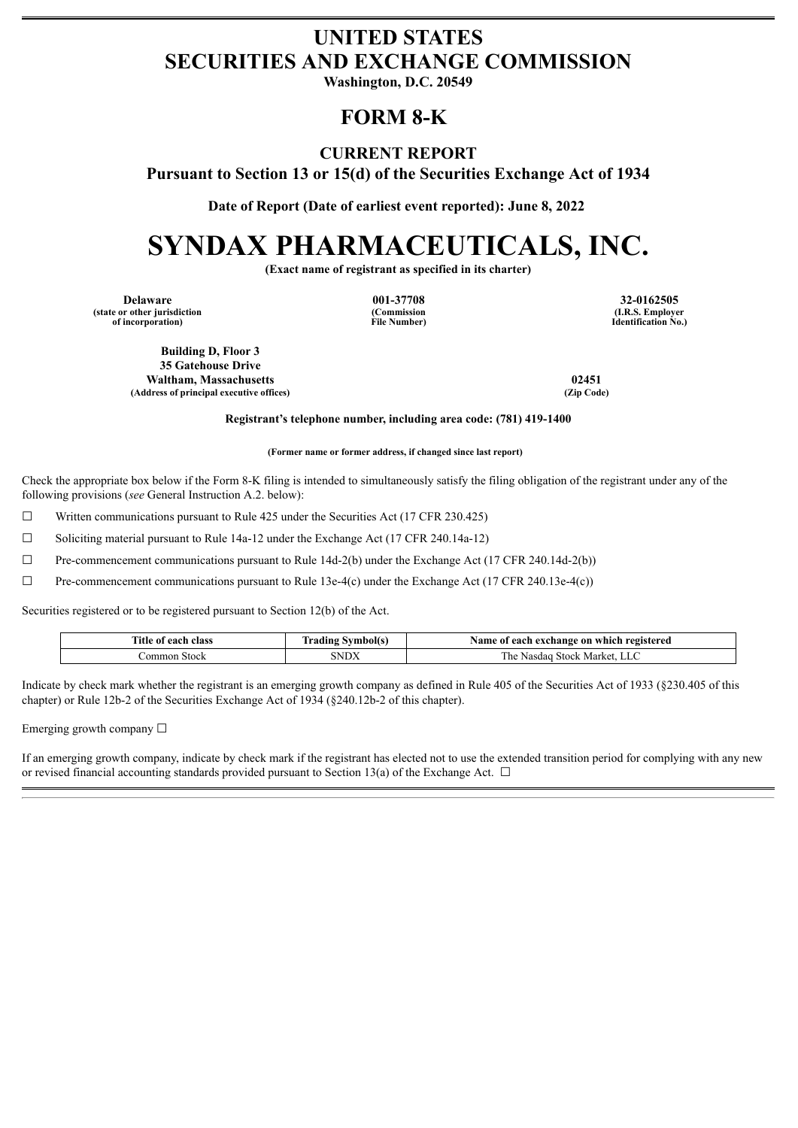# **UNITED STATES SECURITIES AND EXCHANGE COMMISSION**

**Washington, D.C. 20549**

## **FORM 8-K**

### **CURRENT REPORT**

**Pursuant to Section 13 or 15(d) of the Securities Exchange Act of 1934**

**Date of Report (Date of earliest event reported): June 8, 2022**

# **SYNDAX PHARMACEUTICALS, INC.**

**(Exact name of registrant as specified in its charter)**

**Delaware 001-37708 32-0162505 (state or other jurisdiction of incorporation)**

**(Commission File Number)**

**(I.R.S. Employer Identification No.)**

**Building D, Floor 3 35 Gatehouse Drive Waltham, Massachusetts 02451 (Address of principal executive offices) (Zip Code)**

#### **Registrant's telephone number, including area code: (781) 419-1400**

**(Former name or former address, if changed since last report)**

Check the appropriate box below if the Form 8-K filing is intended to simultaneously satisfy the filing obligation of the registrant under any of the following provisions (*see* General Instruction A.2. below):

 $\Box$  Written communications pursuant to Rule 425 under the Securities Act (17 CFR 230.425)

 $\Box$  Soliciting material pursuant to Rule 14a-12 under the Exchange Act (17 CFR 240.14a-12)

☐ Pre-commencement communications pursuant to Rule 14d-2(b) under the Exchange Act (17 CFR 240.14d-2(b))

☐ Pre-commencement communications pursuant to Rule 13e-4(c) under the Exchange Act (17 CFR 240.13e-4(c))

Securities registered or to be registered pursuant to Section 12(b) of the Act.

| <b>Title</b><br>class<br>each<br>01<br>- - - - - -<br>. . | -<br>mbol(s<br>odina<br>. | e on which<br>., exchange<br>registered<br>Name of<br>each |
|-----------------------------------------------------------|---------------------------|------------------------------------------------------------|
| .ommon<br><b>Stock</b>                                    | $\alpha$                  | Stock Market.<br>r he<br>Nasdad<br><b>LL</b>               |

Indicate by check mark whether the registrant is an emerging growth company as defined in Rule 405 of the Securities Act of 1933 (§230.405 of this chapter) or Rule 12b-2 of the Securities Exchange Act of 1934 (§240.12b-2 of this chapter).

Emerging growth company  $\Box$ 

If an emerging growth company, indicate by check mark if the registrant has elected not to use the extended transition period for complying with any new or revised financial accounting standards provided pursuant to Section 13(a) of the Exchange Act.  $\Box$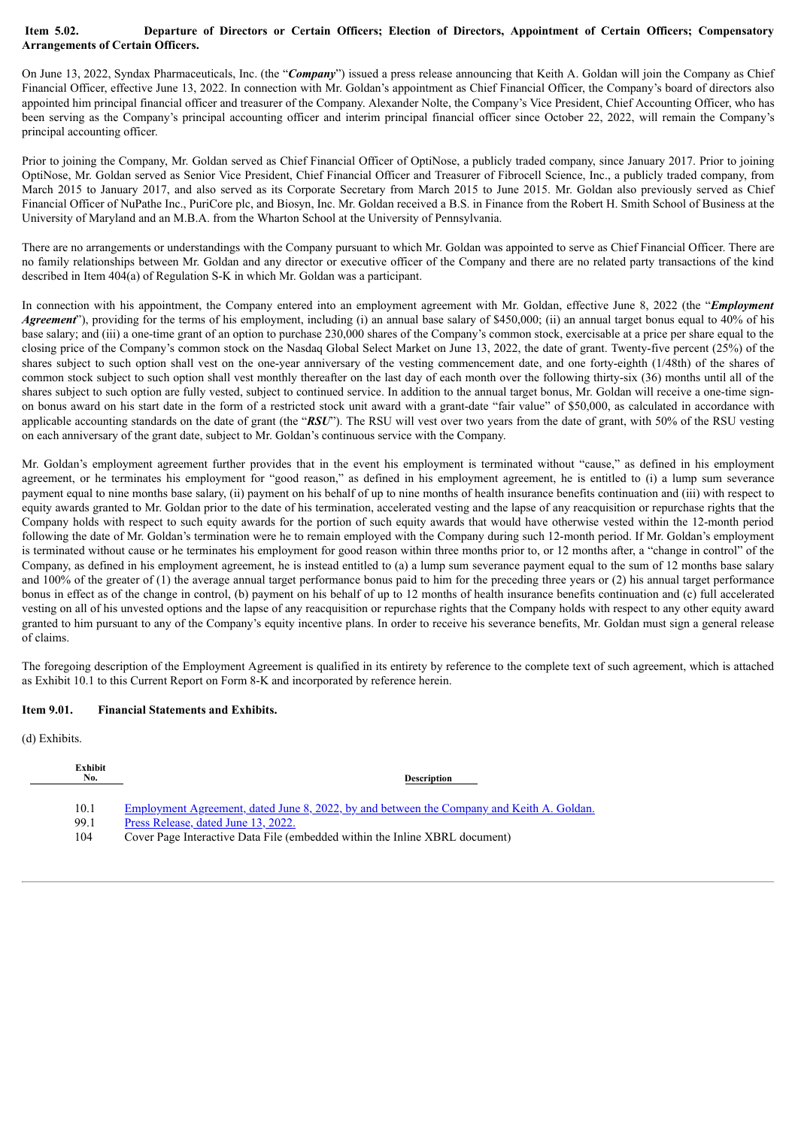#### Item 5.02. Departure of Directors or Certain Officers; Election of Directors, Appointment of Certain Officers; Compensatory **Arrangements of Certain Officers.**

On June 13, 2022, Syndax Pharmaceuticals, Inc. (the "*Company*") issued a press release announcing that Keith A. Goldan will join the Company as Chief Financial Officer, effective June 13, 2022. In connection with Mr. Goldan's appointment as Chief Financial Officer, the Company's board of directors also appointed him principal financial officer and treasurer of the Company. Alexander Nolte, the Company's Vice President, Chief Accounting Officer, who has been serving as the Company's principal accounting officer and interim principal financial officer since October 22, 2022, will remain the Company's principal accounting officer.

Prior to joining the Company, Mr. Goldan served as Chief Financial Officer of OptiNose, a publicly traded company, since January 2017. Prior to joining OptiNose, Mr. Goldan served as Senior Vice President, Chief Financial Officer and Treasurer of Fibrocell Science, Inc., a publicly traded company, from March 2015 to January 2017, and also served as its Corporate Secretary from March 2015 to June 2015. Mr. Goldan also previously served as Chief Financial Officer of NuPathe Inc., PuriCore plc, and Biosyn, Inc. Mr. Goldan received a B.S. in Finance from the Robert H. Smith School of Business at the University of Maryland and an M.B.A. from the Wharton School at the University of Pennsylvania.

There are no arrangements or understandings with the Company pursuant to which Mr. Goldan was appointed to serve as Chief Financial Officer. There are no family relationships between Mr. Goldan and any director or executive officer of the Company and there are no related party transactions of the kind described in Item 404(a) of Regulation S-K in which Mr. Goldan was a participant.

In connection with his appointment, the Company entered into an employment agreement with Mr. Goldan, effective June 8, 2022 (the "*Employment Agreement*"), providing for the terms of his employment, including (i) an annual base salary of \$450,000; (ii) an annual target bonus equal to 40% of his base salary; and (iii) a one-time grant of an option to purchase 230,000 shares of the Company's common stock, exercisable at a price per share equal to the closing price of the Company's common stock on the Nasdaq Global Select Market on June 13, 2022, the date of grant. Twenty-five percent (25%) of the shares subject to such option shall vest on the one-year anniversary of the vesting commencement date, and one forty-eighth (1/48th) of the shares of common stock subject to such option shall vest monthly thereafter on the last day of each month over the following thirty-six (36) months until all of the shares subject to such option are fully vested, subject to continued service. In addition to the annual target bonus, Mr. Goldan will receive a one-time signon bonus award on his start date in the form of a restricted stock unit award with a grant-date "fair value" of \$50,000, as calculated in accordance with applicable accounting standards on the date of grant (the "*RSU*"). The RSU will vest over two years from the date of grant, with 50% of the RSU vesting on each anniversary of the grant date, subject to Mr. Goldan's continuous service with the Company.

Mr. Goldan's employment agreement further provides that in the event his employment is terminated without "cause," as defined in his employment agreement, or he terminates his employment for "good reason," as defined in his employment agreement, he is entitled to (i) a lump sum severance payment equal to nine months base salary, (ii) payment on his behalf of up to nine months of health insurance benefits continuation and (iii) with respect to equity awards granted to Mr. Goldan prior to the date of his termination, accelerated vesting and the lapse of any reacquisition or repurchase rights that the Company holds with respect to such equity awards for the portion of such equity awards that would have otherwise vested within the 12-month period following the date of Mr. Goldan's termination were he to remain employed with the Company during such 12-month period. If Mr. Goldan's employment is terminated without cause or he terminates his employment for good reason within three months prior to, or 12 months after, a "change in control" of the Company, as defined in his employment agreement, he is instead entitled to (a) a lump sum severance payment equal to the sum of 12 months base salary and 100% of the greater of  $(1)$  the average annual target performance bonus paid to him for the preceding three years or  $(2)$  his annual target performance bonus in effect as of the change in control, (b) payment on his behalf of up to 12 months of health insurance benefits continuation and (c) full accelerated vesting on all of his unvested options and the lapse of any reacquisition or repurchase rights that the Company holds with respect to any other equity award granted to him pursuant to any of the Company's equity incentive plans. In order to receive his severance benefits, Mr. Goldan must sign a general release of claims.

The foregoing description of the Employment Agreement is qualified in its entirety by reference to the complete text of such agreement, which is attached as Exhibit 10.1 to this Current Report on Form 8-K and incorporated by reference herein.

#### **Item 9.01. Financial Statements and Exhibits.**

(d) Exhibits.

| <b>Exhibit</b><br>No. | <b>Description</b>                                                                                                                      |
|-----------------------|-----------------------------------------------------------------------------------------------------------------------------------------|
| 10.1<br>99.1          | <u>Employment Agreement, dated June 8, 2022, by and between the Company and Keith A. Goldan.</u><br>Press Release, dated June 13, 2022. |
| 104                   | Cover Page Interactive Data File (embedded within the Inline XBRL document)                                                             |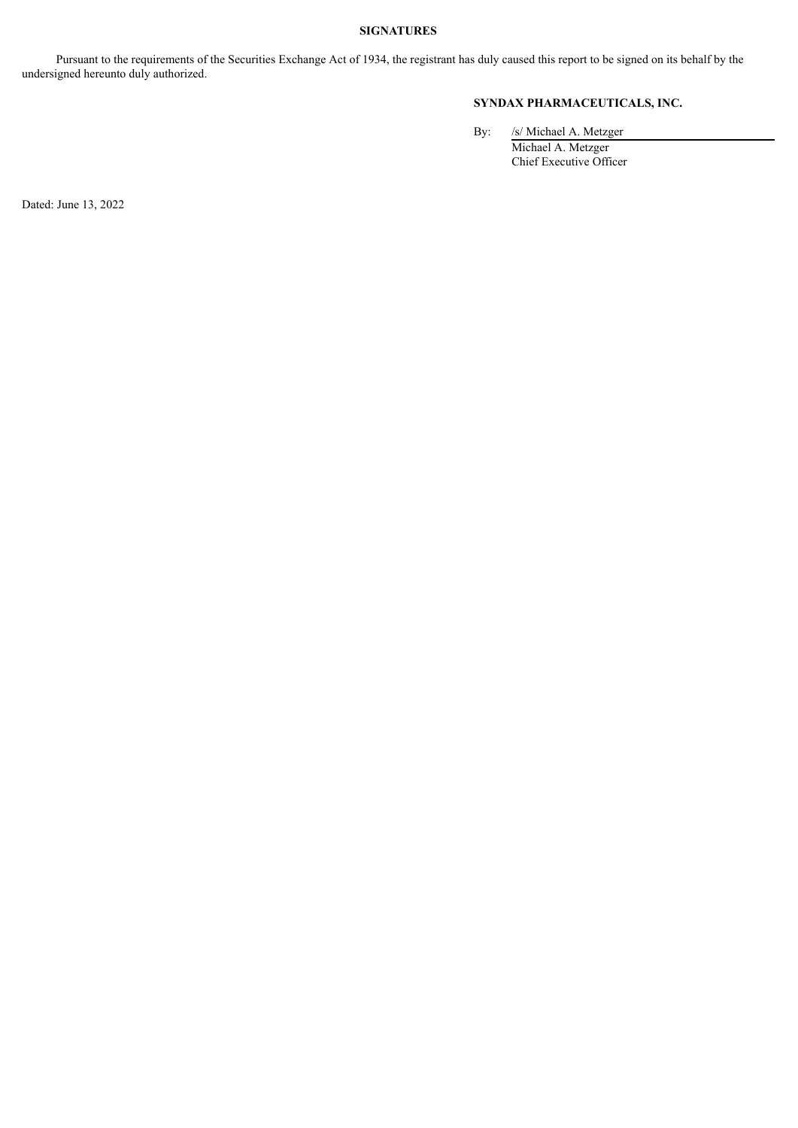#### **SIGNATURES**

Pursuant to the requirements of the Securities Exchange Act of 1934, the registrant has duly caused this report to be signed on its behalf by the undersigned hereunto duly authorized.

#### **SYNDAX PHARMACEUTICALS, INC.**

By: /s/ Michael A. Metzger Michael A. Metzger Chief Executive Officer

Dated: June 13, 2022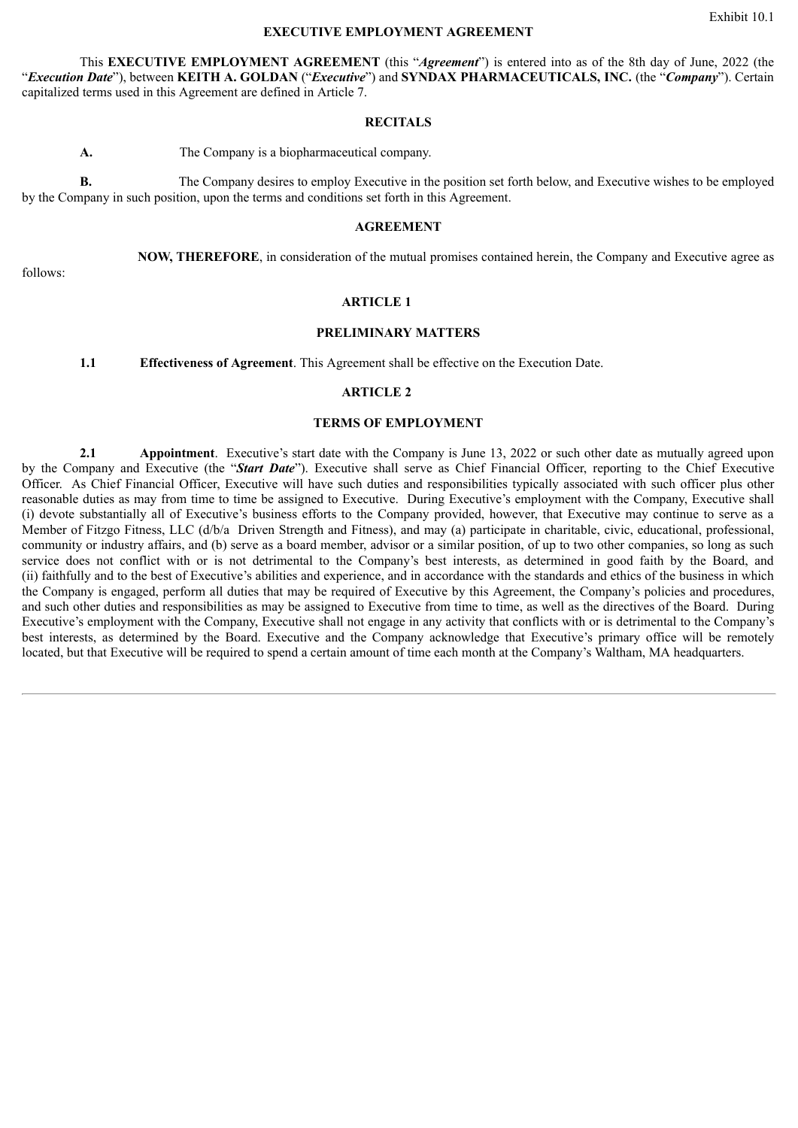#### Exhibit 10.1

#### **EXECUTIVE EMPLOYMENT AGREEMENT**

<span id="page-3-0"></span>This **EXECUTIVE EMPLOYMENT AGREEMENT** (this "*Agreement*") is entered into as of the 8th day of June, 2022 (the "*Execution Date*"), between **KEITH A. GOLDAN** ("*Executive*") and **SYNDAX PHARMACEUTICALS, INC.** (the "*Company*"). Certain capitalized terms used in this Agreement are defined in Article 7.

#### **RECITALS**

**A.** The Company is a biopharmaceutical company.

**B.** The Company desires to employ Executive in the position set forth below, and Executive wishes to be employed by the Company in such position, upon the terms and conditions set forth in this Agreement.

#### **AGREEMENT**

**NOW, THEREFORE**, in consideration of the mutual promises contained herein, the Company and Executive agree as

follows:

#### **ARTICLE 1**

#### **PRELIMINARY MATTERS**

**1.1 Effectiveness of Agreement**. This Agreement shall be effective on the Execution Date.

#### **ARTICLE 2**

#### **TERMS OF EMPLOYMENT**

**2.1 Appointment**. Executive's start date with the Company is June 13, 2022 or such other date as mutually agreed upon by the Company and Executive (the "*Start Date*"). Executive shall serve as Chief Financial Officer, reporting to the Chief Executive Officer. As Chief Financial Officer, Executive will have such duties and responsibilities typically associated with such officer plus other reasonable duties as may from time to time be assigned to Executive. During Executive's employment with the Company, Executive shall (i) devote substantially all of Executive's business efforts to the Company provided, however, that Executive may continue to serve as a Member of Fitzgo Fitness, LLC (d/b/a Driven Strength and Fitness), and may (a) participate in charitable, civic, educational, professional, community or industry affairs, and (b) serve as a board member, advisor or a similar position, of up to two other companies, so long as such service does not conflict with or is not detrimental to the Company's best interests, as determined in good faith by the Board, and (ii) faithfully and to the best of Executive's abilities and experience, and in accordance with the standards and ethics of the business in which the Company is engaged, perform all duties that may be required of Executive by this Agreement, the Company's policies and procedures, and such other duties and responsibilities as may be assigned to Executive from time to time, as well as the directives of the Board. During Executive's employment with the Company, Executive shall not engage in any activity that conflicts with or is detrimental to the Company's best interests, as determined by the Board. Executive and the Company acknowledge that Executive's primary office will be remotely located, but that Executive will be required to spend a certain amount of time each month at the Company's Waltham, MA headquarters.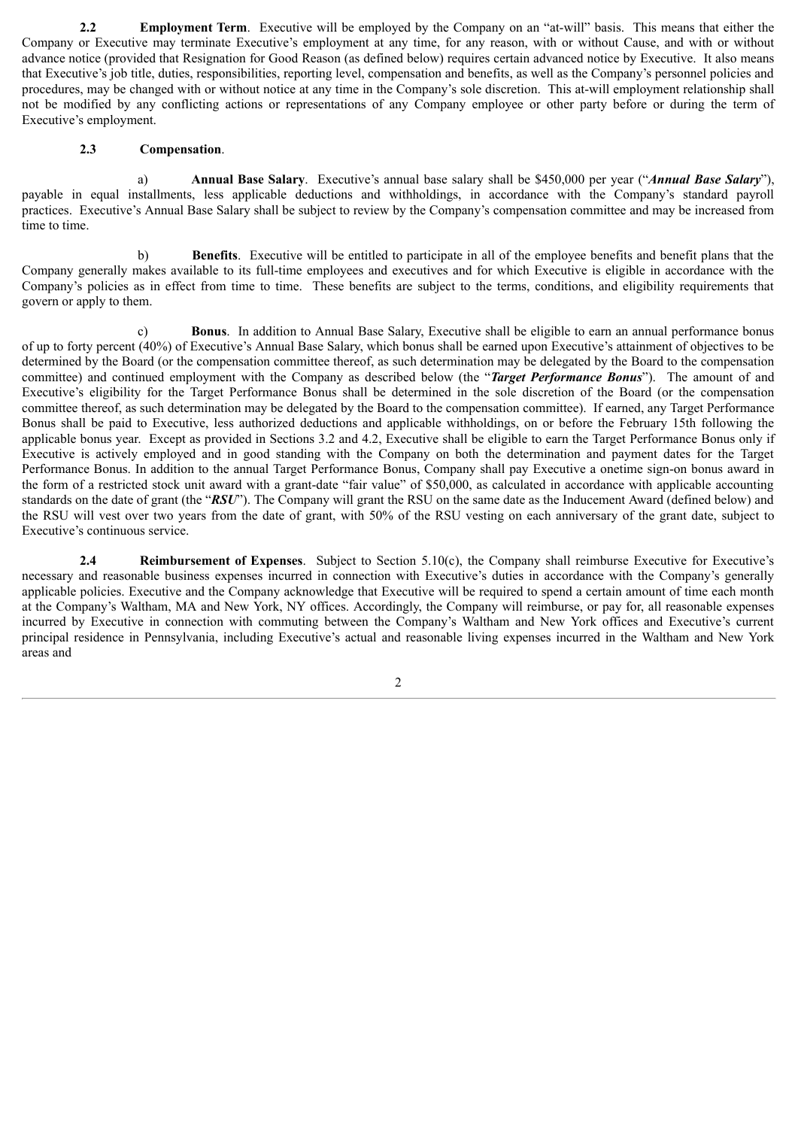**2.2 Employment Term**. Executive will be employed by the Company on an "at-will" basis. This means that either the Company or Executive may terminate Executive's employment at any time, for any reason, with or without Cause, and with or without advance notice (provided that Resignation for Good Reason (as defined below) requires certain advanced notice by Executive. It also means that Executive's job title, duties, responsibilities, reporting level, compensation and benefits, as well as the Company's personnel policies and procedures, may be changed with or without notice at any time in the Company's sole discretion. This at-will employment relationship shall not be modified by any conflicting actions or representations of any Company employee or other party before or during the term of Executive's employment.

#### **2.3 Compensation**.

a) **Annual Base Salary**. Executive's annual base salary shall be \$450,000 per year ("*Annual Base Salary*"), payable in equal installments, less applicable deductions and withholdings, in accordance with the Company's standard payroll practices. Executive's Annual Base Salary shall be subject to review by the Company's compensation committee and may be increased from time to time.

b) **Benefits**. Executive will be entitled to participate in all of the employee benefits and benefit plans that the Company generally makes available to its full-time employees and executives and for which Executive is eligible in accordance with the Company's policies as in effect from time to time. These benefits are subject to the terms, conditions, and eligibility requirements that govern or apply to them.

c) **Bonus**. In addition to Annual Base Salary, Executive shall be eligible to earn an annual performance bonus of up to forty percent (40%) of Executive's Annual Base Salary, which bonus shall be earned upon Executive's attainment of objectives to be determined by the Board (or the compensation committee thereof, as such determination may be delegated by the Board to the compensation committee) and continued employment with the Company as described below (the "*Target Performance Bonus*"). The amount of and Executive's eligibility for the Target Performance Bonus shall be determined in the sole discretion of the Board (or the compensation committee thereof, as such determination may be delegated by the Board to the compensation committee). If earned, any Target Performance Bonus shall be paid to Executive, less authorized deductions and applicable withholdings, on or before the February 15th following the applicable bonus year. Except as provided in Sections 3.2 and 4.2, Executive shall be eligible to earn the Target Performance Bonus only if Executive is actively employed and in good standing with the Company on both the determination and payment dates for the Target Performance Bonus. In addition to the annual Target Performance Bonus, Company shall pay Executive a onetime sign-on bonus award in the form of a restricted stock unit award with a grant-date "fair value" of \$50,000, as calculated in accordance with applicable accounting standards on the date of grant (the "*RSU*"). The Company will grant the RSU on the same date as the Inducement Award (defined below) and the RSU will vest over two years from the date of grant, with 50% of the RSU vesting on each anniversary of the grant date, subject to Executive's continuous service.

**2.4 Reimbursement of Expenses**. Subject to Section 5.10(c), the Company shall reimburse Executive for Executive's necessary and reasonable business expenses incurred in connection with Executive's duties in accordance with the Company's generally applicable policies. Executive and the Company acknowledge that Executive will be required to spend a certain amount of time each month at the Company's Waltham, MA and New York, NY offices. Accordingly, the Company will reimburse, or pay for, all reasonable expenses incurred by Executive in connection with commuting between the Company's Waltham and New York offices and Executive's current principal residence in Pennsylvania, including Executive's actual and reasonable living expenses incurred in the Waltham and New York areas and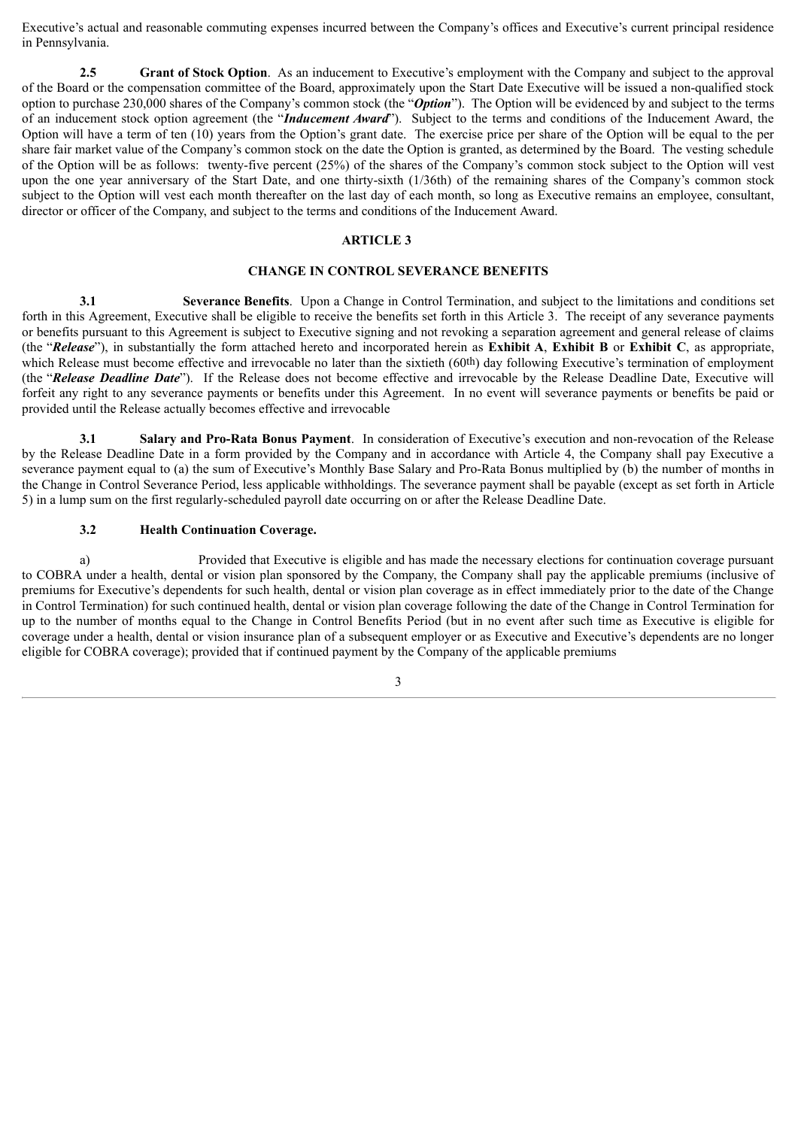Executive's actual and reasonable commuting expenses incurred between the Company's offices and Executive's current principal residence in Pennsylvania.

**2.5 Grant of Stock Option**. As an inducement to Executive's employment with the Company and subject to the approval of the Board or the compensation committee of the Board, approximately upon the Start Date Executive will be issued a non-qualified stock option to purchase 230,000 shares of the Company's common stock (the "*Option*"). The Option will be evidenced by and subject to the terms of an inducement stock option agreement (the "*Inducement Award*"). Subject to the terms and conditions of the Inducement Award, the Option will have a term of ten (10) years from the Option's grant date. The exercise price per share of the Option will be equal to the per share fair market value of the Company's common stock on the date the Option is granted, as determined by the Board. The vesting schedule of the Option will be as follows: twenty-five percent (25%) of the shares of the Company's common stock subject to the Option will vest upon the one year anniversary of the Start Date, and one thirty-sixth (1/36th) of the remaining shares of the Company's common stock subject to the Option will vest each month thereafter on the last day of each month, so long as Executive remains an employee, consultant, director or officer of the Company, and subject to the terms and conditions of the Inducement Award.

#### **ARTICLE 3**

#### **CHANGE IN CONTROL SEVERANCE BENEFITS**

**3.1 Severance Benefits**. Upon a Change in Control Termination, and subject to the limitations and conditions set forth in this Agreement, Executive shall be eligible to receive the benefits set forth in this Article 3. The receipt of any severance payments or benefits pursuant to this Agreement is subject to Executive signing and not revoking a separation agreement and general release of claims (the "*Release*"), in substantially the form attached hereto and incorporated herein as **Exhibit A**, **Exhibit B** or **Exhibit C**, as appropriate, which Release must become effective and irrevocable no later than the sixtieth (60<sup>th</sup>) day following Executive's termination of employment (the "*Release Deadline Date*"). If the Release does not become effective and irrevocable by the Release Deadline Date, Executive will forfeit any right to any severance payments or benefits under this Agreement. In no event will severance payments or benefits be paid or provided until the Release actually becomes effective and irrevocable

**3.1 Salary and Pro-Rata Bonus Payment**. In consideration of Executive's execution and non-revocation of the Release by the Release Deadline Date in a form provided by the Company and in accordance with Article 4, the Company shall pay Executive a severance payment equal to (a) the sum of Executive's Monthly Base Salary and Pro-Rata Bonus multiplied by (b) the number of months in the Change in Control Severance Period, less applicable withholdings. The severance payment shall be payable (except as set forth in Article 5) in a lump sum on the first regularly-scheduled payroll date occurring on or after the Release Deadline Date.

#### **3.2 Health Continuation Coverage.**

a) Provided that Executive is eligible and has made the necessary elections for continuation coverage pursuant to COBRA under a health, dental or vision plan sponsored by the Company, the Company shall pay the applicable premiums (inclusive of premiums for Executive's dependents for such health, dental or vision plan coverage as in effect immediately prior to the date of the Change in Control Termination) for such continued health, dental or vision plan coverage following the date of the Change in Control Termination for up to the number of months equal to the Change in Control Benefits Period (but in no event after such time as Executive is eligible for coverage under a health, dental or vision insurance plan of a subsequent employer or as Executive and Executive's dependents are no longer eligible for COBRA coverage); provided that if continued payment by the Company of the applicable premiums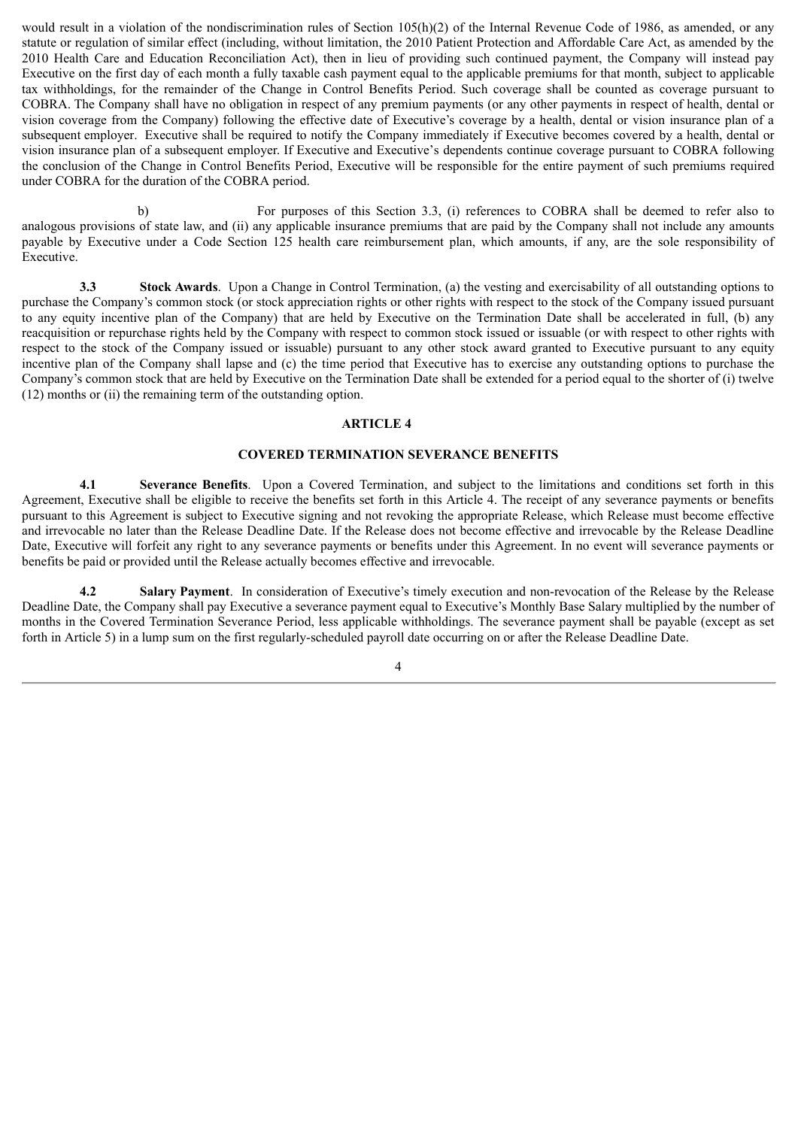would result in a violation of the nondiscrimination rules of Section 105(h)(2) of the Internal Revenue Code of 1986, as amended, or any statute or regulation of similar effect (including, without limitation, the 2010 Patient Protection and Affordable Care Act, as amended by the 2010 Health Care and Education Reconciliation Act), then in lieu of providing such continued payment, the Company will instead pay Executive on the first day of each month a fully taxable cash payment equal to the applicable premiums for that month, subject to applicable tax withholdings, for the remainder of the Change in Control Benefits Period. Such coverage shall be counted as coverage pursuant to COBRA. The Company shall have no obligation in respect of any premium payments (or any other payments in respect of health, dental or vision coverage from the Company) following the effective date of Executive's coverage by a health, dental or vision insurance plan of a subsequent employer. Executive shall be required to notify the Company immediately if Executive becomes covered by a health, dental or vision insurance plan of a subsequent employer. If Executive and Executive's dependents continue coverage pursuant to COBRA following the conclusion of the Change in Control Benefits Period, Executive will be responsible for the entire payment of such premiums required under COBRA for the duration of the COBRA period.

b) For purposes of this Section 3.3, (i) references to COBRA shall be deemed to refer also to analogous provisions of state law, and (ii) any applicable insurance premiums that are paid by the Company shall not include any amounts payable by Executive under a Code Section 125 health care reimbursement plan, which amounts, if any, are the sole responsibility of Executive.

**3.3 Stock Awards**. Upon a Change in Control Termination, (a) the vesting and exercisability of all outstanding options to purchase the Company's common stock (or stock appreciation rights or other rights with respect to the stock of the Company issued pursuant to any equity incentive plan of the Company) that are held by Executive on the Termination Date shall be accelerated in full, (b) any reacquisition or repurchase rights held by the Company with respect to common stock issued or issuable (or with respect to other rights with respect to the stock of the Company issued or issuable) pursuant to any other stock award granted to Executive pursuant to any equity incentive plan of the Company shall lapse and (c) the time period that Executive has to exercise any outstanding options to purchase the Company's common stock that are held by Executive on the Termination Date shall be extended for a period equal to the shorter of (i) twelve (12) months or (ii) the remaining term of the outstanding option.

#### **ARTICLE 4**

#### **COVERED TERMINATION SEVERANCE BENEFITS**

**4.1 Severance Benefits**. Upon a Covered Termination, and subject to the limitations and conditions set forth in this Agreement, Executive shall be eligible to receive the benefits set forth in this Article 4. The receipt of any severance payments or benefits pursuant to this Agreement is subject to Executive signing and not revoking the appropriate Release, which Release must become effective and irrevocable no later than the Release Deadline Date. If the Release does not become effective and irrevocable by the Release Deadline Date, Executive will forfeit any right to any severance payments or benefits under this Agreement. In no event will severance payments or benefits be paid or provided until the Release actually becomes effective and irrevocable.

**4.2 Salary Payment**. In consideration of Executive's timely execution and non-revocation of the Release by the Release Deadline Date, the Company shall pay Executive a severance payment equal to Executive's Monthly Base Salary multiplied by the number of months in the Covered Termination Severance Period, less applicable withholdings. The severance payment shall be payable (except as set forth in Article 5) in a lump sum on the first regularly-scheduled payroll date occurring on or after the Release Deadline Date.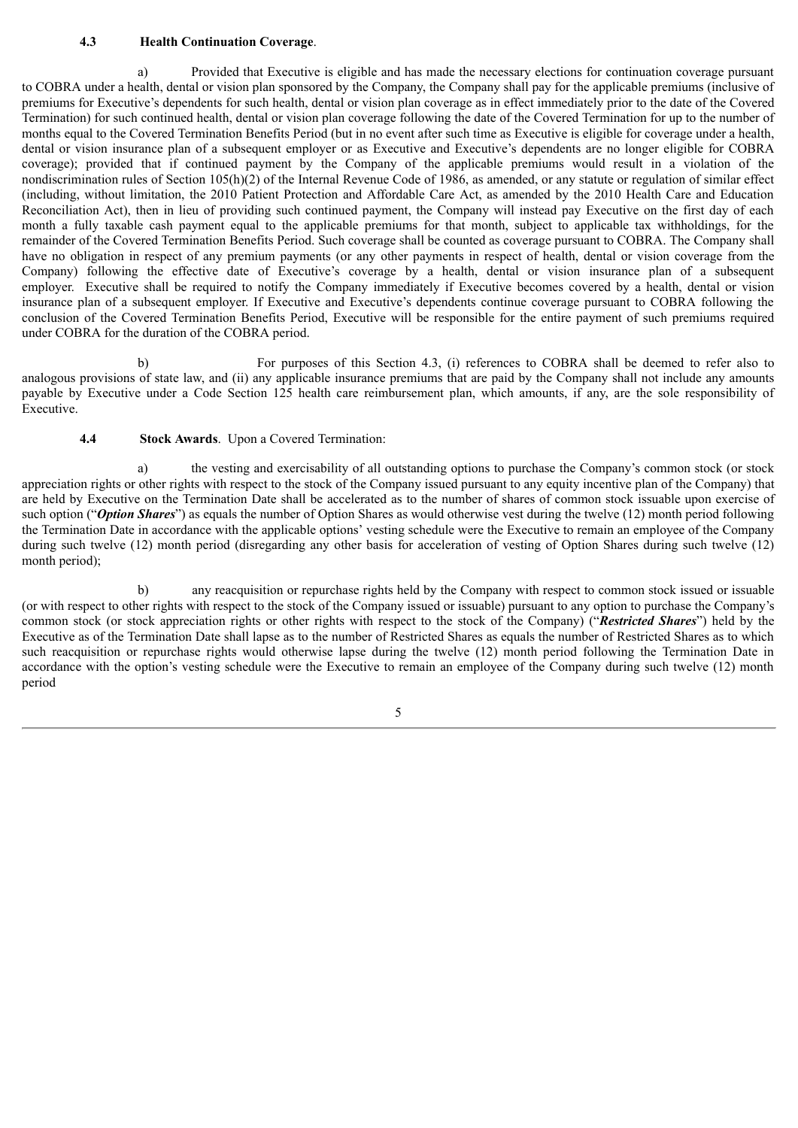#### **4.3 Health Continuation Coverage**.

a) Provided that Executive is eligible and has made the necessary elections for continuation coverage pursuant to COBRA under a health, dental or vision plan sponsored by the Company, the Company shall pay for the applicable premiums (inclusive of premiums for Executive's dependents for such health, dental or vision plan coverage as in effect immediately prior to the date of the Covered Termination) for such continued health, dental or vision plan coverage following the date of the Covered Termination for up to the number of months equal to the Covered Termination Benefits Period (but in no event after such time as Executive is eligible for coverage under a health, dental or vision insurance plan of a subsequent employer or as Executive and Executive's dependents are no longer eligible for COBRA coverage); provided that if continued payment by the Company of the applicable premiums would result in a violation of the nondiscrimination rules of Section 105(h)(2) of the Internal Revenue Code of 1986, as amended, or any statute or regulation of similar effect (including, without limitation, the 2010 Patient Protection and Affordable Care Act, as amended by the 2010 Health Care and Education Reconciliation Act), then in lieu of providing such continued payment, the Company will instead pay Executive on the first day of each month a fully taxable cash payment equal to the applicable premiums for that month, subject to applicable tax withholdings, for the remainder of the Covered Termination Benefits Period. Such coverage shall be counted as coverage pursuant to COBRA. The Company shall have no obligation in respect of any premium payments (or any other payments in respect of health, dental or vision coverage from the Company) following the effective date of Executive's coverage by a health, dental or vision insurance plan of a subsequent employer. Executive shall be required to notify the Company immediately if Executive becomes covered by a health, dental or vision insurance plan of a subsequent employer. If Executive and Executive's dependents continue coverage pursuant to COBRA following the conclusion of the Covered Termination Benefits Period, Executive will be responsible for the entire payment of such premiums required under COBRA for the duration of the COBRA period.

b) For purposes of this Section 4.3, (i) references to COBRA shall be deemed to refer also to analogous provisions of state law, and (ii) any applicable insurance premiums that are paid by the Company shall not include any amounts payable by Executive under a Code Section 125 health care reimbursement plan, which amounts, if any, are the sole responsibility of Executive.

**4.4 Stock Awards**. Upon a Covered Termination:

a) the vesting and exercisability of all outstanding options to purchase the Company's common stock (or stock appreciation rights or other rights with respect to the stock of the Company issued pursuant to any equity incentive plan of the Company) that are held by Executive on the Termination Date shall be accelerated as to the number of shares of common stock issuable upon exercise of such option ("*Option Shares*") as equals the number of Option Shares as would otherwise vest during the twelve (12) month period following the Termination Date in accordance with the applicable options' vesting schedule were the Executive to remain an employee of the Company during such twelve (12) month period (disregarding any other basis for acceleration of vesting of Option Shares during such twelve (12) month period);

b) any reacquisition or repurchase rights held by the Company with respect to common stock issued or issuable (or with respect to other rights with respect to the stock of the Company issued or issuable) pursuant to any option to purchase the Company's common stock (or stock appreciation rights or other rights with respect to the stock of the Company) ("*Restricted Shares*") held by the Executive as of the Termination Date shall lapse as to the number of Restricted Shares as equals the number of Restricted Shares as to which such reacquisition or repurchase rights would otherwise lapse during the twelve (12) month period following the Termination Date in accordance with the option's vesting schedule were the Executive to remain an employee of the Company during such twelve (12) month period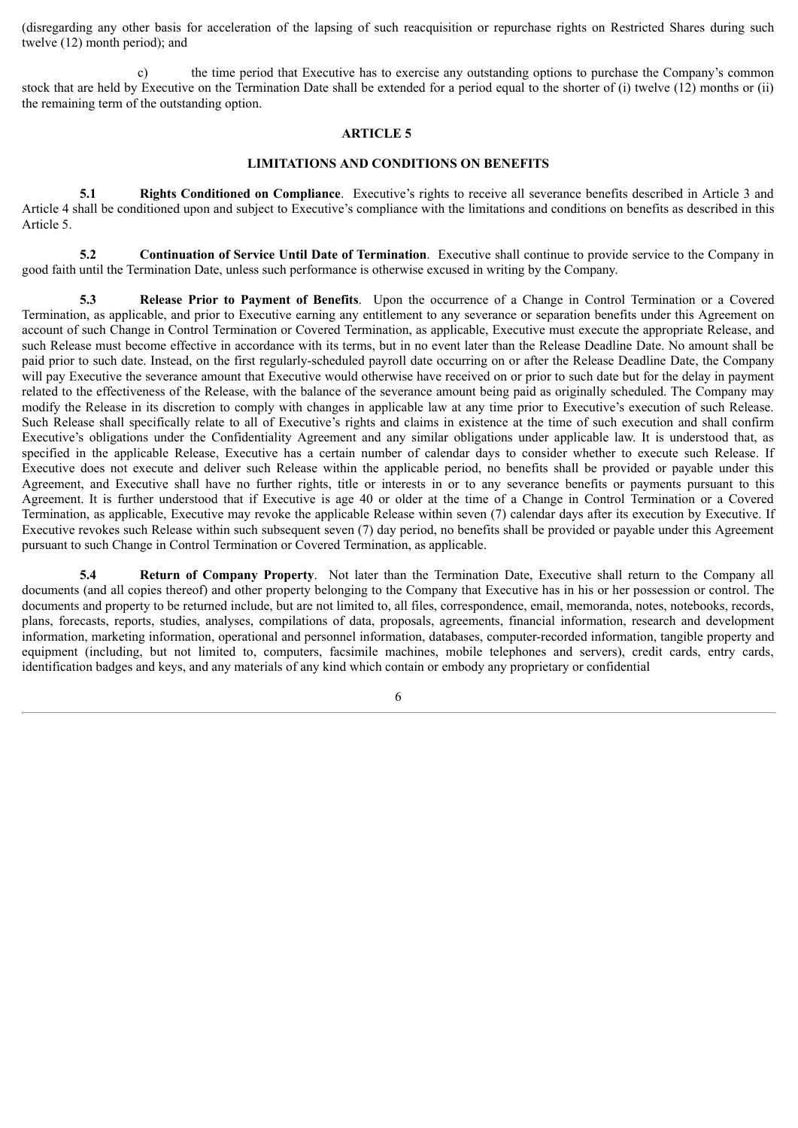(disregarding any other basis for acceleration of the lapsing of such reacquisition or repurchase rights on Restricted Shares during such twelve (12) month period); and

c) the time period that Executive has to exercise any outstanding options to purchase the Company's common stock that are held by Executive on the Termination Date shall be extended for a period equal to the shorter of (i) twelve (12) months or (ii) the remaining term of the outstanding option.

#### **ARTICLE 5**

#### **LIMITATIONS AND CONDITIONS ON BENEFITS**

**5.1 Rights Conditioned on Compliance**. Executive's rights to receive all severance benefits described in Article 3 and Article 4 shall be conditioned upon and subject to Executive's compliance with the limitations and conditions on benefits as described in this Article 5.

**5.2 Continuation of Service Until Date of Termination**. Executive shall continue to provide service to the Company in good faith until the Termination Date, unless such performance is otherwise excused in writing by the Company.

**5.3 Release Prior to Payment of Benefits**. Upon the occurrence of a Change in Control Termination or a Covered Termination, as applicable, and prior to Executive earning any entitlement to any severance or separation benefits under this Agreement on account of such Change in Control Termination or Covered Termination, as applicable, Executive must execute the appropriate Release, and such Release must become effective in accordance with its terms, but in no event later than the Release Deadline Date. No amount shall be paid prior to such date. Instead, on the first regularly-scheduled payroll date occurring on or after the Release Deadline Date, the Company will pay Executive the severance amount that Executive would otherwise have received on or prior to such date but for the delay in payment related to the effectiveness of the Release, with the balance of the severance amount being paid as originally scheduled. The Company may modify the Release in its discretion to comply with changes in applicable law at any time prior to Executive's execution of such Release. Such Release shall specifically relate to all of Executive's rights and claims in existence at the time of such execution and shall confirm Executive's obligations under the Confidentiality Agreement and any similar obligations under applicable law. It is understood that, as specified in the applicable Release, Executive has a certain number of calendar days to consider whether to execute such Release. If Executive does not execute and deliver such Release within the applicable period, no benefits shall be provided or payable under this Agreement, and Executive shall have no further rights, title or interests in or to any severance benefits or payments pursuant to this Agreement. It is further understood that if Executive is age 40 or older at the time of a Change in Control Termination or a Covered Termination, as applicable, Executive may revoke the applicable Release within seven (7) calendar days after its execution by Executive. If Executive revokes such Release within such subsequent seven (7) day period, no benefits shall be provided or payable under this Agreement pursuant to such Change in Control Termination or Covered Termination, as applicable.

**5.4 Return of Company Property**. Not later than the Termination Date, Executive shall return to the Company all documents (and all copies thereof) and other property belonging to the Company that Executive has in his or her possession or control. The documents and property to be returned include, but are not limited to, all files, correspondence, email, memoranda, notes, notebooks, records, plans, forecasts, reports, studies, analyses, compilations of data, proposals, agreements, financial information, research and development information, marketing information, operational and personnel information, databases, computer-recorded information, tangible property and equipment (including, but not limited to, computers, facsimile machines, mobile telephones and servers), credit cards, entry cards, identification badges and keys, and any materials of any kind which contain or embody any proprietary or confidential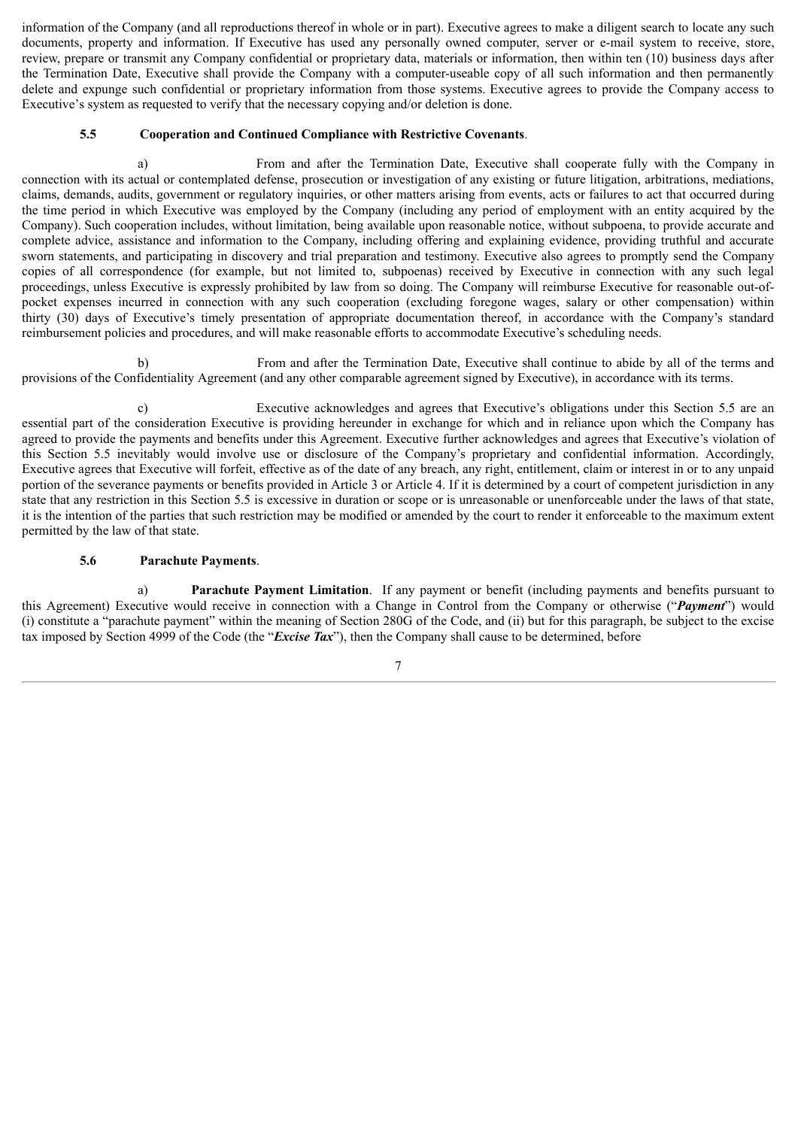information of the Company (and all reproductions thereof in whole or in part). Executive agrees to make a diligent search to locate any such documents, property and information. If Executive has used any personally owned computer, server or e-mail system to receive, store, review, prepare or transmit any Company confidential or proprietary data, materials or information, then within ten (10) business days after the Termination Date, Executive shall provide the Company with a computer-useable copy of all such information and then permanently delete and expunge such confidential or proprietary information from those systems. Executive agrees to provide the Company access to Executive's system as requested to verify that the necessary copying and/or deletion is done.

#### **5.5 Cooperation and Continued Compliance with Restrictive Covenants**.

a) From and after the Termination Date, Executive shall cooperate fully with the Company in connection with its actual or contemplated defense, prosecution or investigation of any existing or future litigation, arbitrations, mediations, claims, demands, audits, government or regulatory inquiries, or other matters arising from events, acts or failures to act that occurred during the time period in which Executive was employed by the Company (including any period of employment with an entity acquired by the Company). Such cooperation includes, without limitation, being available upon reasonable notice, without subpoena, to provide accurate and complete advice, assistance and information to the Company, including offering and explaining evidence, providing truthful and accurate sworn statements, and participating in discovery and trial preparation and testimony. Executive also agrees to promptly send the Company copies of all correspondence (for example, but not limited to, subpoenas) received by Executive in connection with any such legal proceedings, unless Executive is expressly prohibited by law from so doing. The Company will reimburse Executive for reasonable out-ofpocket expenses incurred in connection with any such cooperation (excluding foregone wages, salary or other compensation) within thirty (30) days of Executive's timely presentation of appropriate documentation thereof, in accordance with the Company's standard reimbursement policies and procedures, and will make reasonable efforts to accommodate Executive's scheduling needs.

b) From and after the Termination Date, Executive shall continue to abide by all of the terms and provisions of the Confidentiality Agreement (and any other comparable agreement signed by Executive), in accordance with its terms.

c) Executive acknowledges and agrees that Executive's obligations under this Section 5.5 are an essential part of the consideration Executive is providing hereunder in exchange for which and in reliance upon which the Company has agreed to provide the payments and benefits under this Agreement. Executive further acknowledges and agrees that Executive's violation of this Section 5.5 inevitably would involve use or disclosure of the Company's proprietary and confidential information. Accordingly, Executive agrees that Executive will forfeit, effective as of the date of any breach, any right, entitlement, claim or interest in or to any unpaid portion of the severance payments or benefits provided in Article 3 or Article 4. If it is determined by a court of competent jurisdiction in any state that any restriction in this Section 5.5 is excessive in duration or scope or is unreasonable or unenforceable under the laws of that state, it is the intention of the parties that such restriction may be modified or amended by the court to render it enforceable to the maximum extent permitted by the law of that state.

#### **5.6 Parachute Payments**.

a) **Parachute Payment Limitation**. If any payment or benefit (including payments and benefits pursuant to this Agreement) Executive would receive in connection with a Change in Control from the Company or otherwise ("*Payment*") would (i) constitute a "parachute payment" within the meaning of Section 280G of the Code, and (ii) but for this paragraph, be subject to the excise tax imposed by Section 4999 of the Code (the "*Excise Tax*"), then the Company shall cause to be determined, before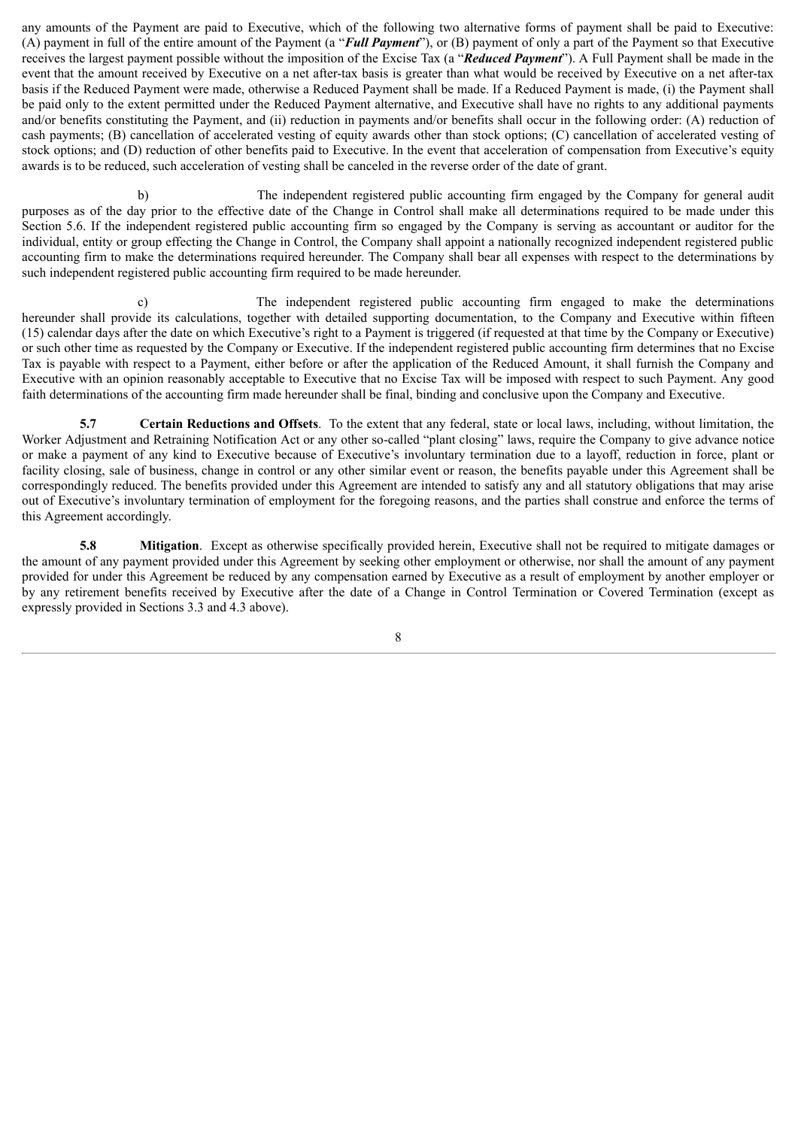any amounts of the Payment are paid to Executive, which of the following two alternative forms of payment shall be paid to Executive: (A) payment in full of the entire amount of the Payment (a "*Full Payment*"), or (B) payment of only a part of the Payment so that Executive receives the largest payment possible without the imposition of the Excise Tax (a "*Reduced Payment*"). A Full Payment shall be made in the event that the amount received by Executive on a net after-tax basis is greater than what would be received by Executive on a net after-tax basis if the Reduced Payment were made, otherwise a Reduced Payment shall be made. If a Reduced Payment is made, (i) the Payment shall be paid only to the extent permitted under the Reduced Payment alternative, and Executive shall have no rights to any additional payments and/or benefits constituting the Payment, and (ii) reduction in payments and/or benefits shall occur in the following order: (A) reduction of cash payments; (B) cancellation of accelerated vesting of equity awards other than stock options; (C) cancellation of accelerated vesting of stock options; and (D) reduction of other benefits paid to Executive. In the event that acceleration of compensation from Executive's equity awards is to be reduced, such acceleration of vesting shall be canceled in the reverse order of the date of grant.

b) The independent registered public accounting firm engaged by the Company for general audit purposes as of the day prior to the effective date of the Change in Control shall make all determinations required to be made under this Section 5.6. If the independent registered public accounting firm so engaged by the Company is serving as accountant or auditor for the individual, entity or group effecting the Change in Control, the Company shall appoint a nationally recognized independent registered public accounting firm to make the determinations required hereunder. The Company shall bear all expenses with respect to the determinations by such independent registered public accounting firm required to be made hereunder.

c) The independent registered public accounting firm engaged to make the determinations hereunder shall provide its calculations, together with detailed supporting documentation, to the Company and Executive within fifteen (15) calendar days after the date on which Executive's right to a Payment is triggered (if requested at that time by the Company or Executive) or such other time as requested by the Company or Executive. If the independent registered public accounting firm determines that no Excise Tax is payable with respect to a Payment, either before or after the application of the Reduced Amount, it shall furnish the Company and Executive with an opinion reasonably acceptable to Executive that no Excise Tax will be imposed with respect to such Payment. Any good faith determinations of the accounting firm made hereunder shall be final, binding and conclusive upon the Company and Executive.

**5.7 Certain Reductions and Offsets**. To the extent that any federal, state or local laws, including, without limitation, the Worker Adjustment and Retraining Notification Act or any other so-called "plant closing" laws, require the Company to give advance notice or make a payment of any kind to Executive because of Executive's involuntary termination due to a layoff, reduction in force, plant or facility closing, sale of business, change in control or any other similar event or reason, the benefits payable under this Agreement shall be correspondingly reduced. The benefits provided under this Agreement are intended to satisfy any and all statutory obligations that may arise out of Executive's involuntary termination of employment for the foregoing reasons, and the parties shall construe and enforce the terms of this Agreement accordingly.

**5.8 Mitigation**. Except as otherwise specifically provided herein, Executive shall not be required to mitigate damages or the amount of any payment provided under this Agreement by seeking other employment or otherwise, nor shall the amount of any payment provided for under this Agreement be reduced by any compensation earned by Executive as a result of employment by another employer or by any retirement benefits received by Executive after the date of a Change in Control Termination or Covered Termination (except as expressly provided in Sections 3.3 and 4.3 above).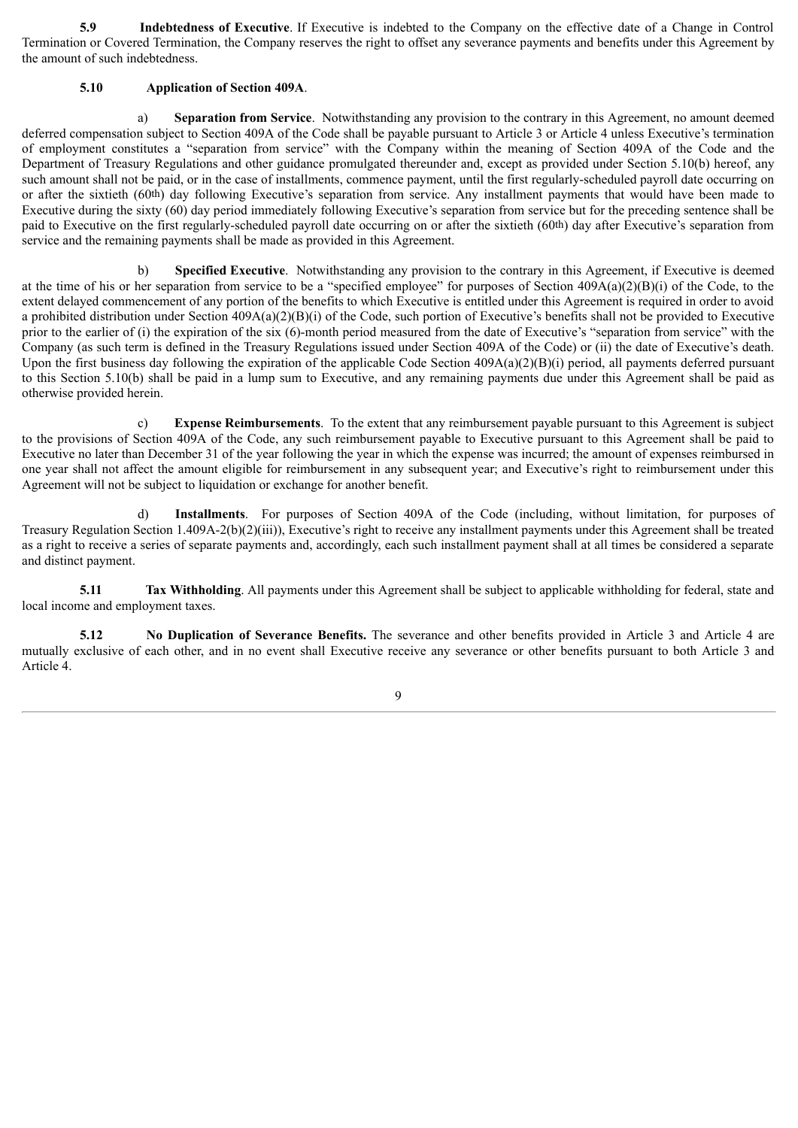**5.9 Indebtedness of Executive**. If Executive is indebted to the Company on the effective date of a Change in Control Termination or Covered Termination, the Company reserves the right to offset any severance payments and benefits under this Agreement by the amount of such indebtedness.

#### **5.10 Application of Section 409A**.

a) **Separation from Service**. Notwithstanding any provision to the contrary in this Agreement, no amount deemed deferred compensation subject to Section 409A of the Code shall be payable pursuant to Article 3 or Article 4 unless Executive's termination of employment constitutes a "separation from service" with the Company within the meaning of Section 409A of the Code and the Department of Treasury Regulations and other guidance promulgated thereunder and, except as provided under Section 5.10(b) hereof, any such amount shall not be paid, or in the case of installments, commence payment, until the first regularly-scheduled payroll date occurring on or after the sixtieth (60th) day following Executive's separation from service. Any installment payments that would have been made to Executive during the sixty (60) day period immediately following Executive's separation from service but for the preceding sentence shall be paid to Executive on the first regularly-scheduled payroll date occurring on or after the sixtieth (60th) day after Executive's separation from service and the remaining payments shall be made as provided in this Agreement.

b) **Specified Executive**. Notwithstanding any provision to the contrary in this Agreement, if Executive is deemed at the time of his or her separation from service to be a "specified employee" for purposes of Section  $409A(a)(2)(B)(i)$  of the Code, to the extent delayed commencement of any portion of the benefits to which Executive is entitled under this Agreement is required in order to avoid a prohibited distribution under Section  $409A(a)(2)(B)(i)$  of the Code, such portion of Executive's benefits shall not be provided to Executive prior to the earlier of (i) the expiration of the six (6)-month period measured from the date of Executive's "separation from service" with the Company (as such term is defined in the Treasury Regulations issued under Section 409A of the Code) or (ii) the date of Executive's death. Upon the first business day following the expiration of the applicable Code Section 409A(a)(2)(B)(i) period, all payments deferred pursuant to this Section 5.10(b) shall be paid in a lump sum to Executive, and any remaining payments due under this Agreement shall be paid as otherwise provided herein.

c) **Expense Reimbursements**. To the extent that any reimbursement payable pursuant to this Agreement is subject to the provisions of Section 409A of the Code, any such reimbursement payable to Executive pursuant to this Agreement shall be paid to Executive no later than December 31 of the year following the year in which the expense was incurred; the amount of expenses reimbursed in one year shall not affect the amount eligible for reimbursement in any subsequent year; and Executive's right to reimbursement under this Agreement will not be subject to liquidation or exchange for another benefit.

d) **Installments**. For purposes of Section 409A of the Code (including, without limitation, for purposes of Treasury Regulation Section 1.409A-2(b)(2)(iii)), Executive's right to receive any installment payments under this Agreement shall be treated as a right to receive a series of separate payments and, accordingly, each such installment payment shall at all times be considered a separate and distinct payment.

**5.11 Tax Withholding**. All payments under this Agreement shall be subject to applicable withholding for federal, state and local income and employment taxes.

**5.12 No Duplication of Severance Benefits.** The severance and other benefits provided in Article 3 and Article 4 are mutually exclusive of each other, and in no event shall Executive receive any severance or other benefits pursuant to both Article 3 and Article 4.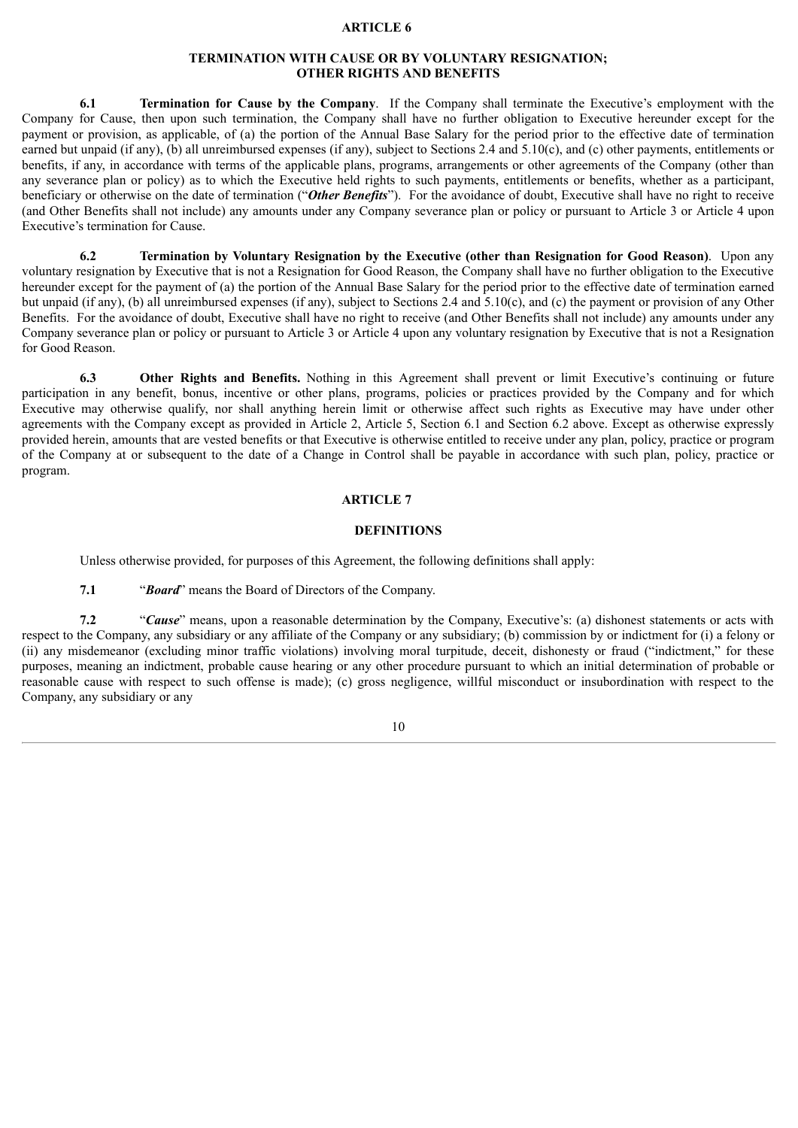#### **ARTICLE 6**

#### **TERMINATION WITH CAUSE OR BY VOLUNTARY RESIGNATION; OTHER RIGHTS AND BENEFITS**

**6.1 Termination for Cause by the Company**. If the Company shall terminate the Executive's employment with the Company for Cause, then upon such termination, the Company shall have no further obligation to Executive hereunder except for the payment or provision, as applicable, of (a) the portion of the Annual Base Salary for the period prior to the effective date of termination earned but unpaid (if any), (b) all unreimbursed expenses (if any), subject to Sections 2.4 and 5.10(c), and (c) other payments, entitlements or benefits, if any, in accordance with terms of the applicable plans, programs, arrangements or other agreements of the Company (other than any severance plan or policy) as to which the Executive held rights to such payments, entitlements or benefits, whether as a participant, beneficiary or otherwise on the date of termination ("*Other Benefits*"). For the avoidance of doubt, Executive shall have no right to receive (and Other Benefits shall not include) any amounts under any Company severance plan or policy or pursuant to Article 3 or Article 4 upon Executive's termination for Cause.

**6.2 Termination by Voluntary Resignation by the Executive (other than Resignation for Good Reason)**. Upon any voluntary resignation by Executive that is not a Resignation for Good Reason, the Company shall have no further obligation to the Executive hereunder except for the payment of (a) the portion of the Annual Base Salary for the period prior to the effective date of termination earned but unpaid (if any), (b) all unreimbursed expenses (if any), subject to Sections 2.4 and 5.10(c), and (c) the payment or provision of any Other Benefits. For the avoidance of doubt, Executive shall have no right to receive (and Other Benefits shall not include) any amounts under any Company severance plan or policy or pursuant to Article 3 or Article 4 upon any voluntary resignation by Executive that is not a Resignation for Good Reason.

**6.3 Other Rights and Benefits.** Nothing in this Agreement shall prevent or limit Executive's continuing or future participation in any benefit, bonus, incentive or other plans, programs, policies or practices provided by the Company and for which Executive may otherwise qualify, nor shall anything herein limit or otherwise affect such rights as Executive may have under other agreements with the Company except as provided in Article 2, Article 5, Section 6.1 and Section 6.2 above. Except as otherwise expressly provided herein, amounts that are vested benefits or that Executive is otherwise entitled to receive under any plan, policy, practice or program of the Company at or subsequent to the date of a Change in Control shall be payable in accordance with such plan, policy, practice or program.

#### **ARTICLE 7**

#### **DEFINITIONS**

Unless otherwise provided, for purposes of this Agreement, the following definitions shall apply:

**7.1** "*Board*" means the Board of Directors of the Company.

**7.2** "*Cause*" means, upon a reasonable determination by the Company, Executive's: (a) dishonest statements or acts with respect to the Company, any subsidiary or any affiliate of the Company or any subsidiary; (b) commission by or indictment for (i) a felony or (ii) any misdemeanor (excluding minor traffic violations) involving moral turpitude, deceit, dishonesty or fraud ("indictment," for these purposes, meaning an indictment, probable cause hearing or any other procedure pursuant to which an initial determination of probable or reasonable cause with respect to such offense is made); (c) gross negligence, willful misconduct or insubordination with respect to the Company, any subsidiary or any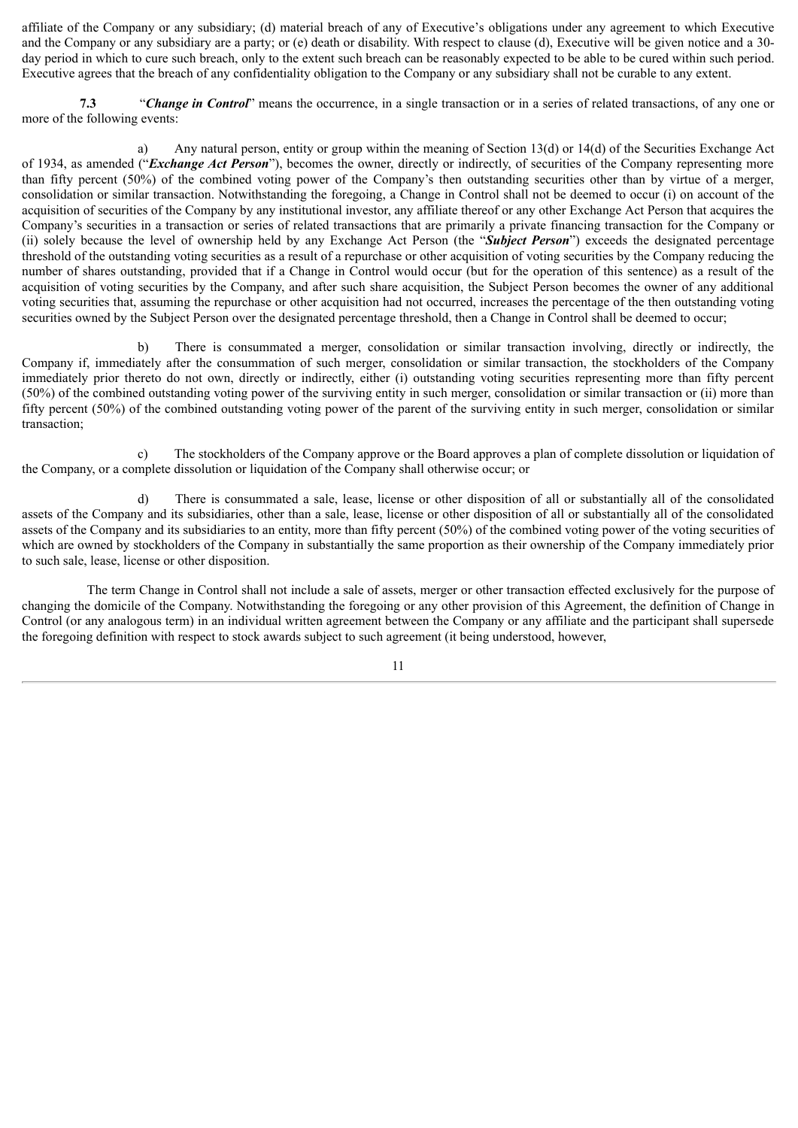affiliate of the Company or any subsidiary; (d) material breach of any of Executive's obligations under any agreement to which Executive and the Company or any subsidiary are a party; or (e) death or disability. With respect to clause (d), Executive will be given notice and a 30 day period in which to cure such breach, only to the extent such breach can be reasonably expected to be able to be cured within such period. Executive agrees that the breach of any confidentiality obligation to the Company or any subsidiary shall not be curable to any extent.

**7.3** "*Change in Control*" means the occurrence, in a single transaction or in a series of related transactions, of any one or more of the following events:

a) Any natural person, entity or group within the meaning of Section 13(d) or 14(d) of the Securities Exchange Act of 1934, as amended ("*Exchange Act Person*"), becomes the owner, directly or indirectly, of securities of the Company representing more than fifty percent (50%) of the combined voting power of the Company's then outstanding securities other than by virtue of a merger, consolidation or similar transaction. Notwithstanding the foregoing, a Change in Control shall not be deemed to occur (i) on account of the acquisition of securities of the Company by any institutional investor, any affiliate thereof or any other Exchange Act Person that acquires the Company's securities in a transaction or series of related transactions that are primarily a private financing transaction for the Company or (ii) solely because the level of ownership held by any Exchange Act Person (the "*Subject Person*") exceeds the designated percentage threshold of the outstanding voting securities as a result of a repurchase or other acquisition of voting securities by the Company reducing the number of shares outstanding, provided that if a Change in Control would occur (but for the operation of this sentence) as a result of the acquisition of voting securities by the Company, and after such share acquisition, the Subject Person becomes the owner of any additional voting securities that, assuming the repurchase or other acquisition had not occurred, increases the percentage of the then outstanding voting securities owned by the Subject Person over the designated percentage threshold, then a Change in Control shall be deemed to occur;

b) There is consummated a merger, consolidation or similar transaction involving, directly or indirectly, the Company if, immediately after the consummation of such merger, consolidation or similar transaction, the stockholders of the Company immediately prior thereto do not own, directly or indirectly, either (i) outstanding voting securities representing more than fifty percent (50%) of the combined outstanding voting power of the surviving entity in such merger, consolidation or similar transaction or (ii) more than fifty percent (50%) of the combined outstanding voting power of the parent of the surviving entity in such merger, consolidation or similar transaction;

c) The stockholders of the Company approve or the Board approves a plan of complete dissolution or liquidation of the Company, or a complete dissolution or liquidation of the Company shall otherwise occur; or

d) There is consummated a sale, lease, license or other disposition of all or substantially all of the consolidated assets of the Company and its subsidiaries, other than a sale, lease, license or other disposition of all or substantially all of the consolidated assets of the Company and its subsidiaries to an entity, more than fifty percent (50%) of the combined voting power of the voting securities of which are owned by stockholders of the Company in substantially the same proportion as their ownership of the Company immediately prior to such sale, lease, license or other disposition.

The term Change in Control shall not include a sale of assets, merger or other transaction effected exclusively for the purpose of changing the domicile of the Company. Notwithstanding the foregoing or any other provision of this Agreement, the definition of Change in Control (or any analogous term) in an individual written agreement between the Company or any affiliate and the participant shall supersede the foregoing definition with respect to stock awards subject to such agreement (it being understood, however,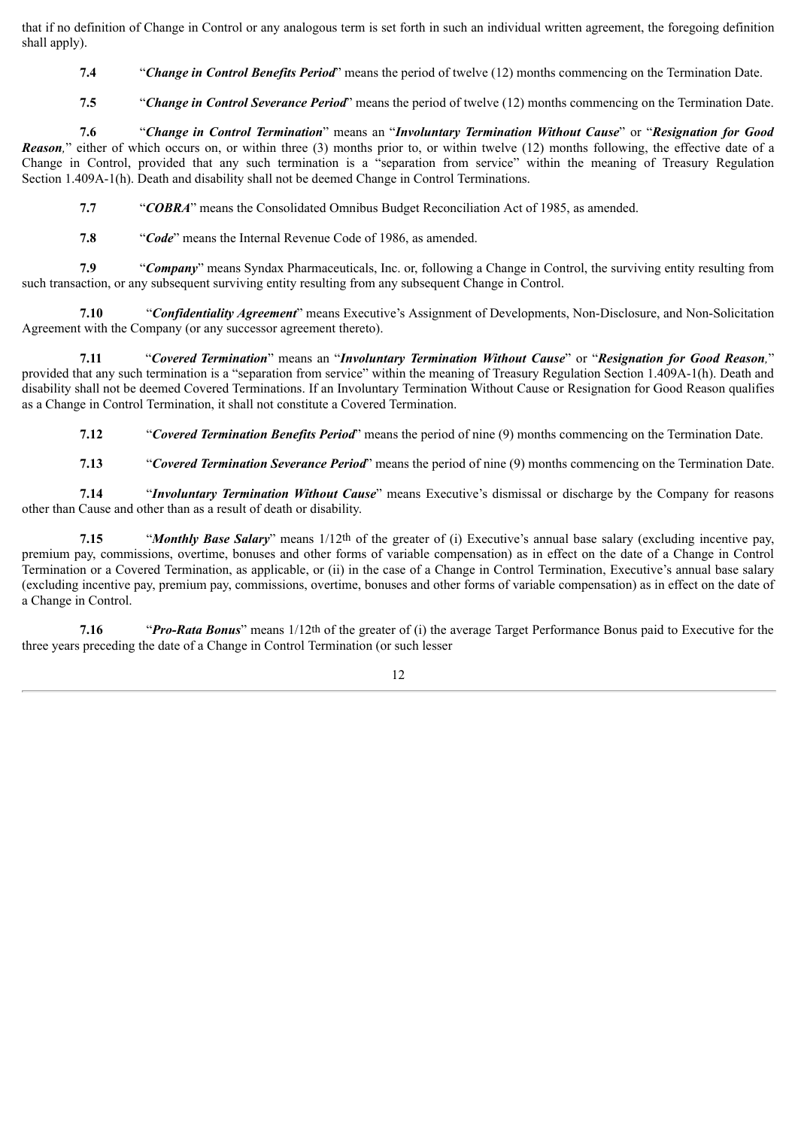that if no definition of Change in Control or any analogous term is set forth in such an individual written agreement, the foregoing definition shall apply).

**7.4** "*Change in Control Benefits Period*" means the period of twelve (12) months commencing on the Termination Date.

**7.5** "*Change in Control Severance Period*" means the period of twelve (12) months commencing on the Termination Date.

**7.6** "*Change in Control Termination*" means an "*Involuntary Termination Without Cause*" or "*Resignation for Good Reason*," either of which occurs on, or within three (3) months prior to, or within twelve (12) months following, the effective date of a Change in Control, provided that any such termination is a "separation from service" within the meaning of Treasury Regulation Section 1.409A-1(h). Death and disability shall not be deemed Change in Control Terminations.

**7.7** "*COBRA*" means the Consolidated Omnibus Budget Reconciliation Act of 1985, as amended.

**7.8** "*Code*" means the Internal Revenue Code of 1986, as amended.

**7.9** "*Company*" means Syndax Pharmaceuticals, Inc. or, following a Change in Control, the surviving entity resulting from such transaction, or any subsequent surviving entity resulting from any subsequent Change in Control.

**7.10** "*Confidentiality Agreement*" means Executive's Assignment of Developments, Non-Disclosure, and Non-Solicitation Agreement with the Company (or any successor agreement thereto).

**7.11** "*Covered Termination*" means an "*Involuntary Termination Without Cause*" or "*Resignation for Good Reason,*" provided that any such termination is a "separation from service" within the meaning of Treasury Regulation Section 1.409A-1(h). Death and disability shall not be deemed Covered Terminations. If an Involuntary Termination Without Cause or Resignation for Good Reason qualifies as a Change in Control Termination, it shall not constitute a Covered Termination.

**7.12** "*Covered Termination Benefits Period*" means the period of nine (9) months commencing on the Termination Date.

**7.13** "*Covered Termination Severance Period*" means the period of nine (9) months commencing on the Termination Date.

**7.14** "*Involuntary Termination Without Cause*" means Executive's dismissal or discharge by the Company for reasons other than Cause and other than as a result of death or disability.

**7.15** "*Monthly Base Salary*" means 1/12th of the greater of (i) Executive's annual base salary (excluding incentive pay, premium pay, commissions, overtime, bonuses and other forms of variable compensation) as in effect on the date of a Change in Control Termination or a Covered Termination, as applicable, or (ii) in the case of a Change in Control Termination, Executive's annual base salary (excluding incentive pay, premium pay, commissions, overtime, bonuses and other forms of variable compensation) as in effect on the date of a Change in Control.

**7.16** "*Pro-Rata Bonus*" means 1/12th of the greater of (i) the average Target Performance Bonus paid to Executive for the three years preceding the date of a Change in Control Termination (or such lesser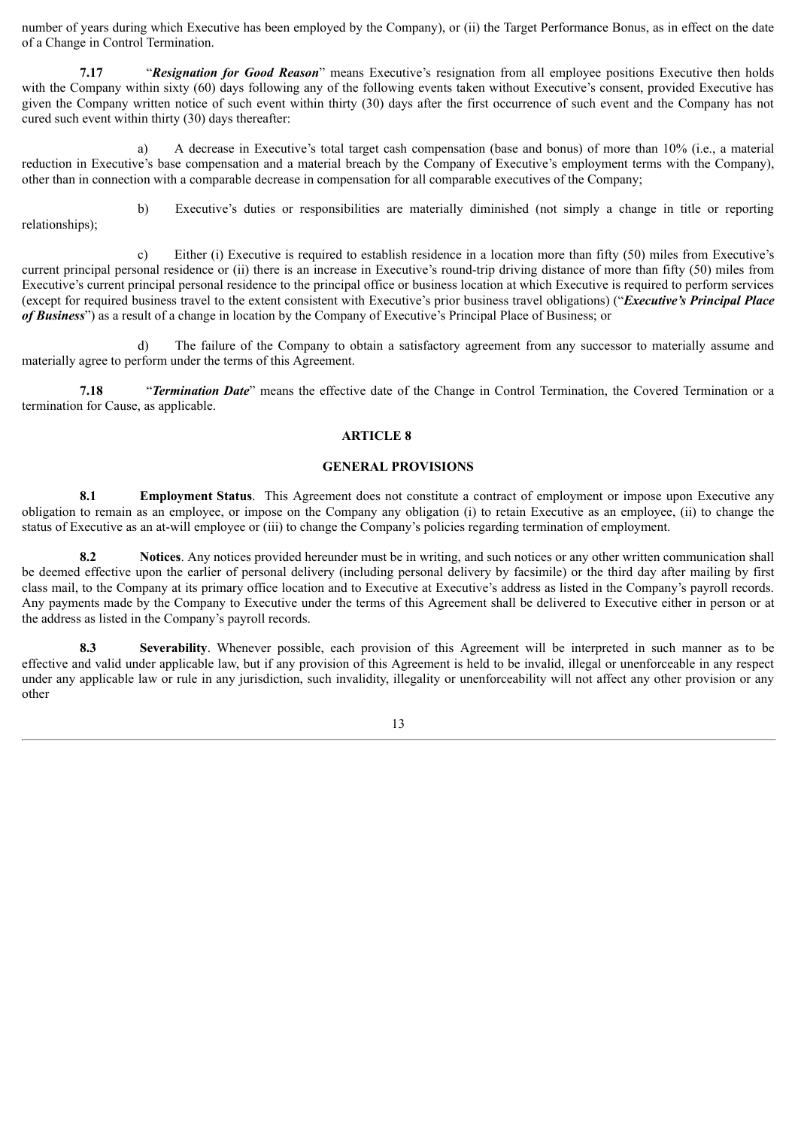number of years during which Executive has been employed by the Company), or (ii) the Target Performance Bonus, as in effect on the date of a Change in Control Termination.

**7.17** "*Resignation for Good Reason*" means Executive's resignation from all employee positions Executive then holds with the Company within sixty (60) days following any of the following events taken without Executive's consent, provided Executive has given the Company written notice of such event within thirty (30) days after the first occurrence of such event and the Company has not cured such event within thirty (30) days thereafter:

a) A decrease in Executive's total target cash compensation (base and bonus) of more than 10% (i.e., a material reduction in Executive's base compensation and a material breach by the Company of Executive's employment terms with the Company), other than in connection with a comparable decrease in compensation for all comparable executives of the Company;

relationships);

b) Executive's duties or responsibilities are materially diminished (not simply a change in title or reporting

c) Either (i) Executive is required to establish residence in a location more than fifty (50) miles from Executive's current principal personal residence or (ii) there is an increase in Executive's round-trip driving distance of more than fifty (50) miles from Executive's current principal personal residence to the principal office or business location at which Executive is required to perform services (except for required business travel to the extent consistent with Executive's prior business travel obligations) ("*Executive's Principal Place of Business*") as a result of a change in location by the Company of Executive's Principal Place of Business; or

d) The failure of the Company to obtain a satisfactory agreement from any successor to materially assume and materially agree to perform under the terms of this Agreement.

**7.18** "*Termination Date*" means the effective date of the Change in Control Termination, the Covered Termination or a termination for Cause, as applicable.

#### **ARTICLE 8**

#### **GENERAL PROVISIONS**

**8.1 Employment Status**. This Agreement does not constitute a contract of employment or impose upon Executive any obligation to remain as an employee, or impose on the Company any obligation (i) to retain Executive as an employee, (ii) to change the status of Executive as an at-will employee or (iii) to change the Company's policies regarding termination of employment.

**8.2 Notices**. Any notices provided hereunder must be in writing, and such notices or any other written communication shall be deemed effective upon the earlier of personal delivery (including personal delivery by facsimile) or the third day after mailing by first class mail, to the Company at its primary office location and to Executive at Executive's address as listed in the Company's payroll records. Any payments made by the Company to Executive under the terms of this Agreement shall be delivered to Executive either in person or at the address as listed in the Company's payroll records.

**8.3 Severability**. Whenever possible, each provision of this Agreement will be interpreted in such manner as to be effective and valid under applicable law, but if any provision of this Agreement is held to be invalid, illegal or unenforceable in any respect under any applicable law or rule in any jurisdiction, such invalidity, illegality or unenforceability will not affect any other provision or any other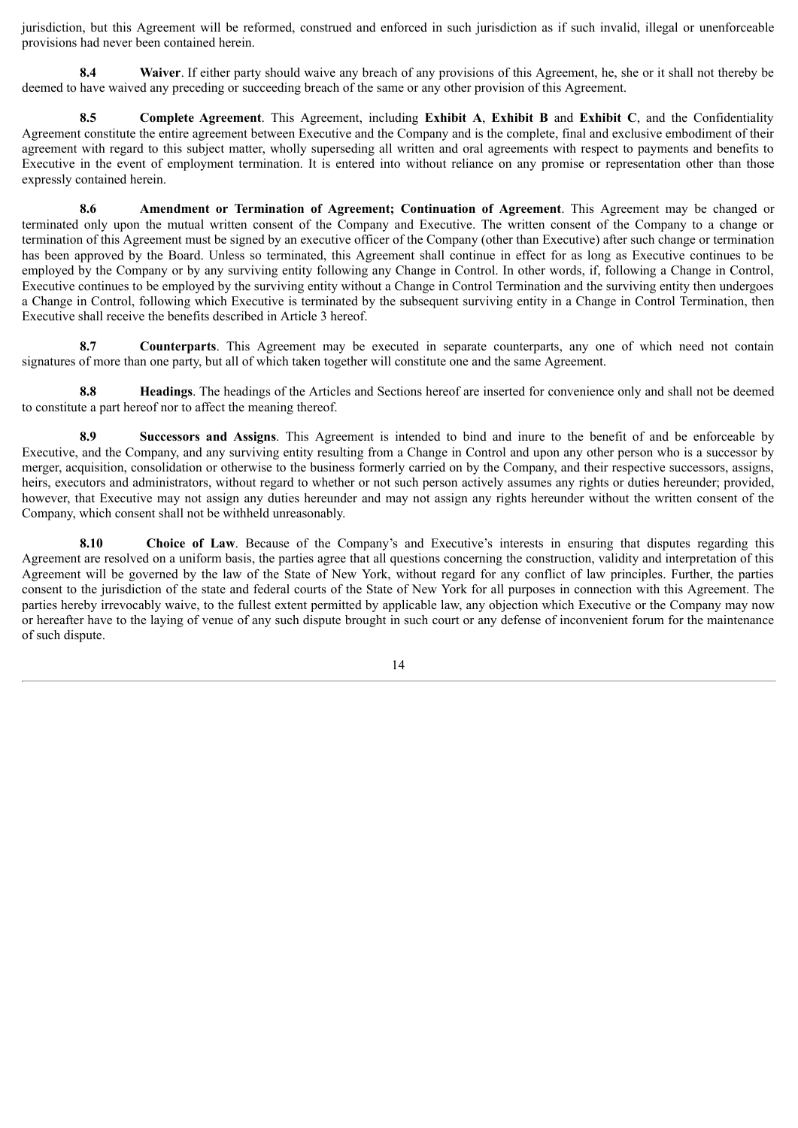jurisdiction, but this Agreement will be reformed, construed and enforced in such jurisdiction as if such invalid, illegal or unenforceable provisions had never been contained herein.

**8.4 Waiver**. If either party should waive any breach of any provisions of this Agreement, he, she or it shall not thereby be deemed to have waived any preceding or succeeding breach of the same or any other provision of this Agreement.

**8.5 Complete Agreement**. This Agreement, including **Exhibit A**, **Exhibit B** and **Exhibit C**, and the Confidentiality Agreement constitute the entire agreement between Executive and the Company and is the complete, final and exclusive embodiment of their agreement with regard to this subject matter, wholly superseding all written and oral agreements with respect to payments and benefits to Executive in the event of employment termination. It is entered into without reliance on any promise or representation other than those expressly contained herein.

**8.6 Amendment or Termination of Agreement; Continuation of Agreement**. This Agreement may be changed or terminated only upon the mutual written consent of the Company and Executive. The written consent of the Company to a change or termination of this Agreement must be signed by an executive officer of the Company (other than Executive) after such change or termination has been approved by the Board. Unless so terminated, this Agreement shall continue in effect for as long as Executive continues to be employed by the Company or by any surviving entity following any Change in Control. In other words, if, following a Change in Control, Executive continues to be employed by the surviving entity without a Change in Control Termination and the surviving entity then undergoes a Change in Control, following which Executive is terminated by the subsequent surviving entity in a Change in Control Termination, then Executive shall receive the benefits described in Article 3 hereof.

**8.7 Counterparts**. This Agreement may be executed in separate counterparts, any one of which need not contain signatures of more than one party, but all of which taken together will constitute one and the same Agreement.

**8.8 Headings**. The headings of the Articles and Sections hereof are inserted for convenience only and shall not be deemed to constitute a part hereof nor to affect the meaning thereof.

**8.9 Successors and Assigns**. This Agreement is intended to bind and inure to the benefit of and be enforceable by Executive, and the Company, and any surviving entity resulting from a Change in Control and upon any other person who is a successor by merger, acquisition, consolidation or otherwise to the business formerly carried on by the Company, and their respective successors, assigns, heirs, executors and administrators, without regard to whether or not such person actively assumes any rights or duties hereunder; provided, however, that Executive may not assign any duties hereunder and may not assign any rights hereunder without the written consent of the Company, which consent shall not be withheld unreasonably.

**8.10 Choice of Law**. Because of the Company's and Executive's interests in ensuring that disputes regarding this Agreement are resolved on a uniform basis, the parties agree that all questions concerning the construction, validity and interpretation of this Agreement will be governed by the law of the State of New York, without regard for any conflict of law principles. Further, the parties consent to the jurisdiction of the state and federal courts of the State of New York for all purposes in connection with this Agreement. The parties hereby irrevocably waive, to the fullest extent permitted by applicable law, any objection which Executive or the Company may now or hereafter have to the laying of venue of any such dispute brought in such court or any defense of inconvenient forum for the maintenance of such dispute.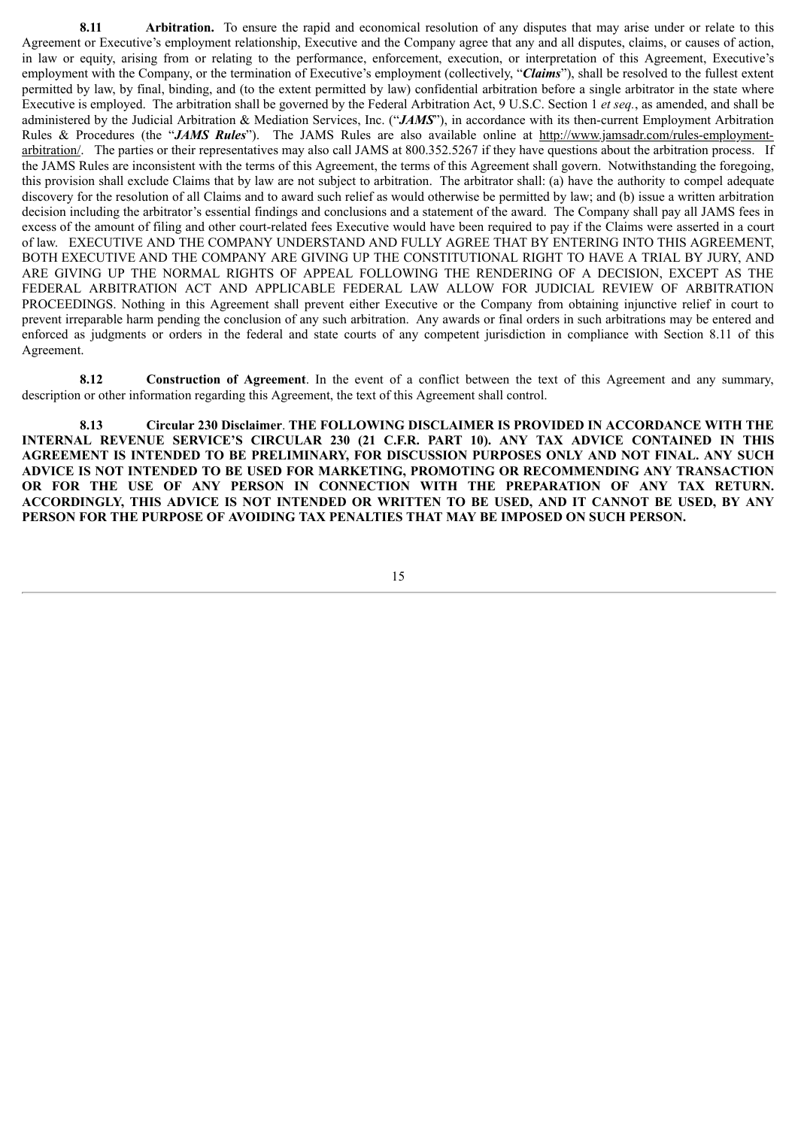**8.11 Arbitration.** To ensure the rapid and economical resolution of any disputes that may arise under or relate to this Agreement or Executive's employment relationship, Executive and the Company agree that any and all disputes, claims, or causes of action, in law or equity, arising from or relating to the performance, enforcement, execution, or interpretation of this Agreement, Executive's employment with the Company, or the termination of Executive's employment (collectively, "*Claims*"), shall be resolved to the fullest extent permitted by law, by final, binding, and (to the extent permitted by law) confidential arbitration before a single arbitrator in the state where Executive is employed. The arbitration shall be governed by the Federal Arbitration Act, 9 U.S.C. Section 1 *et seq.*, as amended, and shall be administered by the Judicial Arbitration & Mediation Services, Inc. ("*JAMS*"), in accordance with its then-current Employment Arbitration Rules & Procedures (the "*JAMS Rules*"). The JAMS Rules are also available online at http://www.jamsadr.com/rules-employmentarbitration/. The parties or their representatives may also call JAMS at 800.352.5267 if they have questions about the arbitration process. If the JAMS Rules are inconsistent with the terms of this Agreement, the terms of this Agreement shall govern. Notwithstanding the foregoing, this provision shall exclude Claims that by law are not subject to arbitration. The arbitrator shall: (a) have the authority to compel adequate discovery for the resolution of all Claims and to award such relief as would otherwise be permitted by law; and (b) issue a written arbitration decision including the arbitrator's essential findings and conclusions and a statement of the award. The Company shall pay all JAMS fees in excess of the amount of filing and other court-related fees Executive would have been required to pay if the Claims were asserted in a court of law. EXECUTIVE AND THE COMPANY UNDERSTAND AND FULLY AGREE THAT BY ENTERING INTO THIS AGREEMENT, BOTH EXECUTIVE AND THE COMPANY ARE GIVING UP THE CONSTITUTIONAL RIGHT TO HAVE A TRIAL BY JURY, AND ARE GIVING UP THE NORMAL RIGHTS OF APPEAL FOLLOWING THE RENDERING OF A DECISION, EXCEPT AS THE FEDERAL ARBITRATION ACT AND APPLICABLE FEDERAL LAW ALLOW FOR JUDICIAL REVIEW OF ARBITRATION PROCEEDINGS. Nothing in this Agreement shall prevent either Executive or the Company from obtaining injunctive relief in court to prevent irreparable harm pending the conclusion of any such arbitration. Any awards or final orders in such arbitrations may be entered and enforced as judgments or orders in the federal and state courts of any competent jurisdiction in compliance with Section 8.11 of this Agreement.

**8.12 Construction of Agreement**. In the event of a conflict between the text of this Agreement and any summary, description or other information regarding this Agreement, the text of this Agreement shall control.

**8.13 Circular 230 Disclaimer**. **THE FOLLOWING DISCLAIMER IS PROVIDED IN ACCORDANCE WITH THE INTERNAL REVENUE SERVICE'S CIRCULAR 230 (21 C.F.R. PART 10). ANY TAX ADVICE CONTAINED IN THIS AGREEMENT IS INTENDED TO BE PRELIMINARY, FOR DISCUSSION PURPOSES ONLY AND NOT FINAL. ANY SUCH ADVICE IS NOT INTENDED TO BE USED FOR MARKETING, PROMOTING OR RECOMMENDING ANY TRANSACTION OR FOR THE USE OF ANY PERSON IN CONNECTION WITH THE PREPARATION OF ANY TAX RETURN. ACCORDINGLY, THIS ADVICE IS NOT INTENDED OR WRITTEN TO BE USED, AND IT CANNOT BE USED, BY ANY PERSON FOR THE PURPOSE OF AVOIDING TAX PENALTIES THAT MAY BE IMPOSED ON SUCH PERSON.**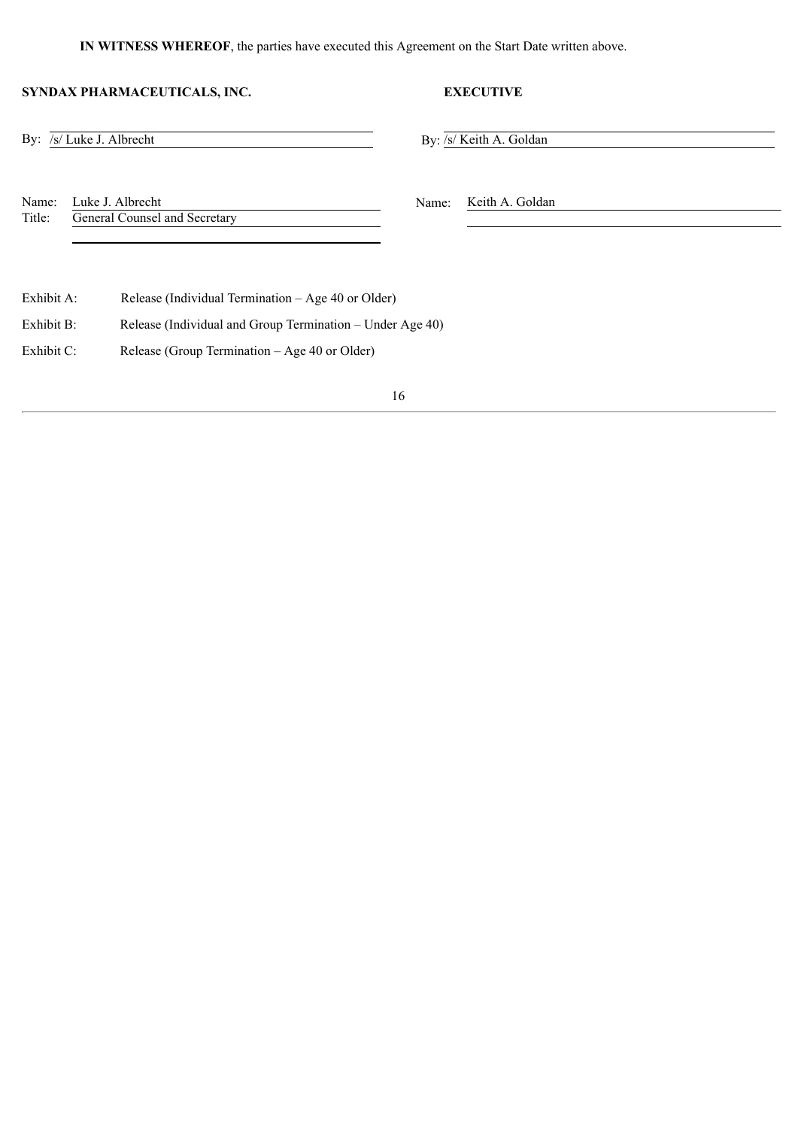#### **IN WITNESS WHEREOF**, the parties have executed this Agreement on the Start Date written above.

#### **SYNDAX PHARMACEUTICALS, INC. EXECUTIVE**

#### By:  $\sqrt{s}$  Luke J. Albrecht By:  $\sqrt{s}$  Keith A. Goldan

Name: Luke J. Albrecht Name: Keith A. Goldan Title: General Counsel and Secretary

Exhibit A: Release (Individual Termination – Age 40 or Older)

Exhibit B: Release (Individual and Group Termination – Under Age 40)

Exhibit C: Release (Group Termination – Age 40 or Older)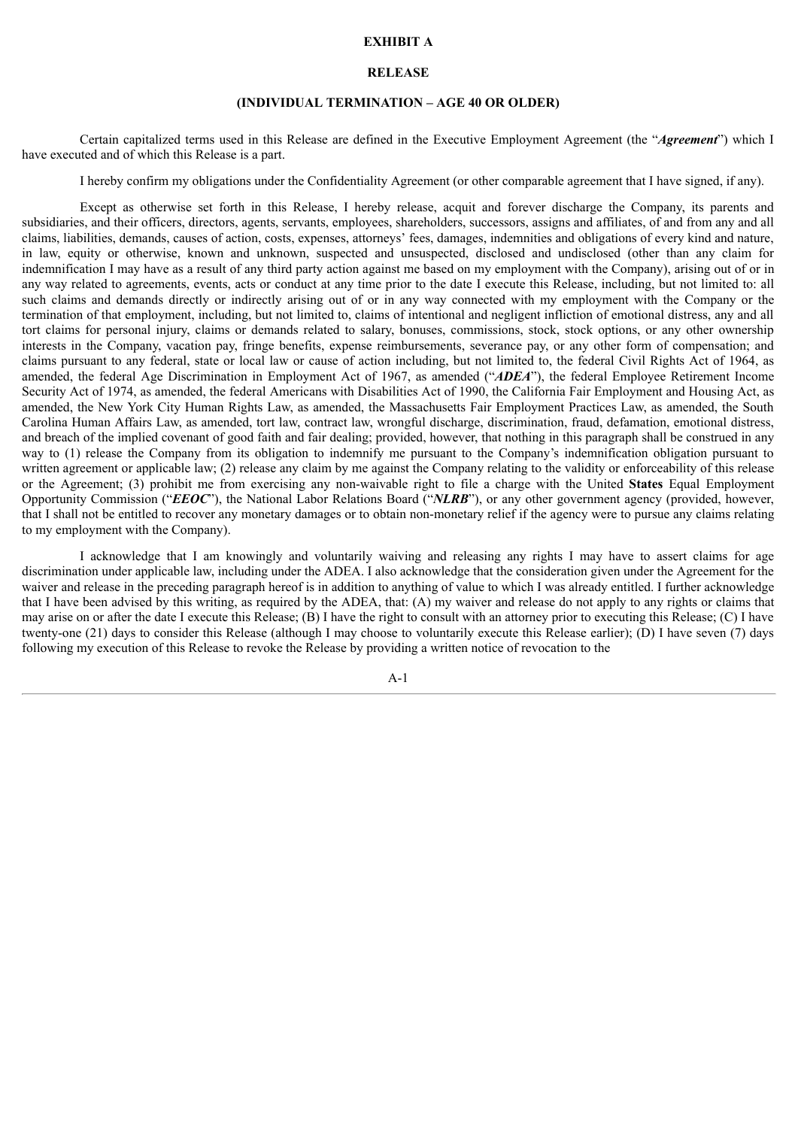#### **EXHIBIT A**

#### **RELEASE**

#### **(INDIVIDUAL TERMINATION – AGE 40 OR OLDER)**

Certain capitalized terms used in this Release are defined in the Executive Employment Agreement (the "*Agreement*") which I have executed and of which this Release is a part.

I hereby confirm my obligations under the Confidentiality Agreement (or other comparable agreement that I have signed, if any).

Except as otherwise set forth in this Release, I hereby release, acquit and forever discharge the Company, its parents and subsidiaries, and their officers, directors, agents, servants, employees, shareholders, successors, assigns and affiliates, of and from any and all claims, liabilities, demands, causes of action, costs, expenses, attorneys' fees, damages, indemnities and obligations of every kind and nature, in law, equity or otherwise, known and unknown, suspected and unsuspected, disclosed and undisclosed (other than any claim for indemnification I may have as a result of any third party action against me based on my employment with the Company), arising out of or in any way related to agreements, events, acts or conduct at any time prior to the date I execute this Release, including, but not limited to: all such claims and demands directly or indirectly arising out of or in any way connected with my employment with the Company or the termination of that employment, including, but not limited to, claims of intentional and negligent infliction of emotional distress, any and all tort claims for personal injury, claims or demands related to salary, bonuses, commissions, stock, stock options, or any other ownership interests in the Company, vacation pay, fringe benefits, expense reimbursements, severance pay, or any other form of compensation; and claims pursuant to any federal, state or local law or cause of action including, but not limited to, the federal Civil Rights Act of 1964, as amended, the federal Age Discrimination in Employment Act of 1967, as amended ("*ADEA*"), the federal Employee Retirement Income Security Act of 1974, as amended, the federal Americans with Disabilities Act of 1990, the California Fair Employment and Housing Act, as amended, the New York City Human Rights Law, as amended, the Massachusetts Fair Employment Practices Law, as amended, the South Carolina Human Affairs Law, as amended, tort law, contract law, wrongful discharge, discrimination, fraud, defamation, emotional distress, and breach of the implied covenant of good faith and fair dealing; provided, however, that nothing in this paragraph shall be construed in any way to (1) release the Company from its obligation to indemnify me pursuant to the Company's indemnification obligation pursuant to written agreement or applicable law; (2) release any claim by me against the Company relating to the validity or enforceability of this release or the Agreement; (3) prohibit me from exercising any non-waivable right to file a charge with the United **States** Equal Employment Opportunity Commission ("*EEOC*"), the National Labor Relations Board ("*NLRB*"), or any other government agency (provided, however, that I shall not be entitled to recover any monetary damages or to obtain non-monetary relief if the agency were to pursue any claims relating to my employment with the Company).

I acknowledge that I am knowingly and voluntarily waiving and releasing any rights I may have to assert claims for age discrimination under applicable law, including under the ADEA. I also acknowledge that the consideration given under the Agreement for the waiver and release in the preceding paragraph hereof is in addition to anything of value to which I was already entitled. I further acknowledge that I have been advised by this writing, as required by the ADEA, that: (A) my waiver and release do not apply to any rights or claims that may arise on or after the date I execute this Release; (B) I have the right to consult with an attorney prior to executing this Release; (C) I have twenty-one (21) days to consider this Release (although I may choose to voluntarily execute this Release earlier); (D) I have seven (7) days following my execution of this Release to revoke the Release by providing a written notice of revocation to the

A-1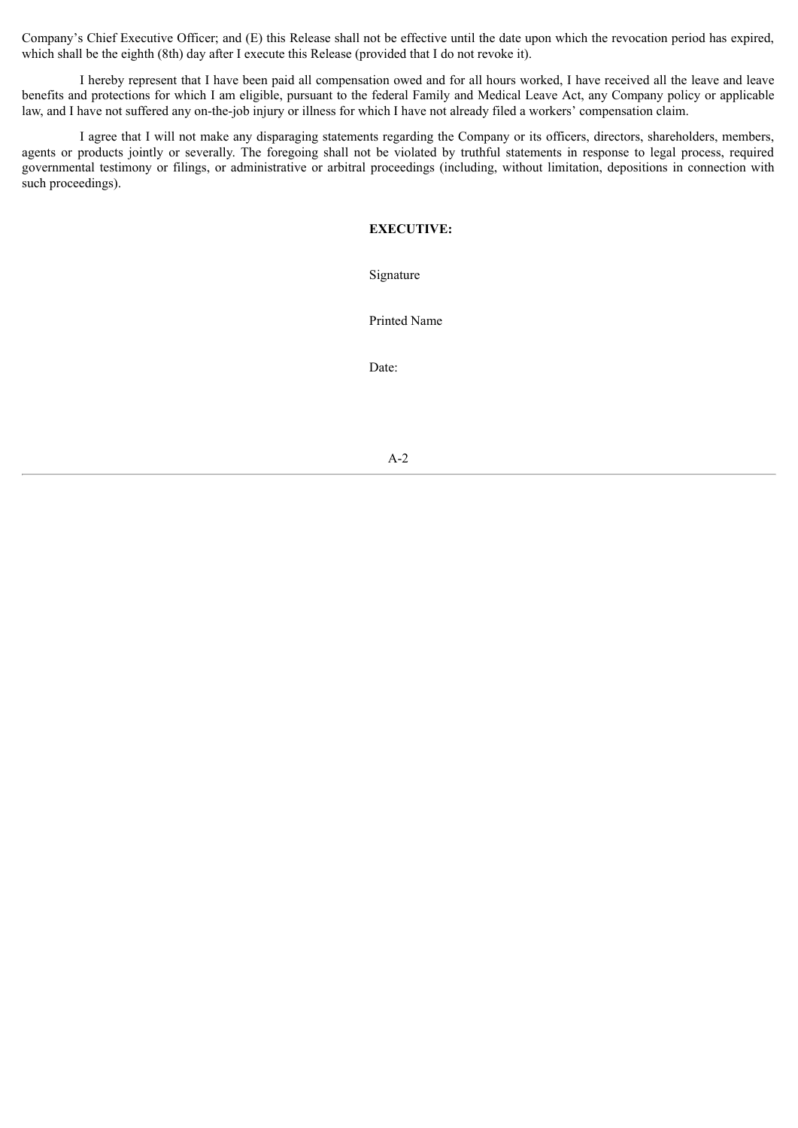Company's Chief Executive Officer; and (E) this Release shall not be effective until the date upon which the revocation period has expired, which shall be the eighth (8th) day after I execute this Release (provided that I do not revoke it).

I hereby represent that I have been paid all compensation owed and for all hours worked, I have received all the leave and leave benefits and protections for which I am eligible, pursuant to the federal Family and Medical Leave Act, any Company policy or applicable law, and I have not suffered any on-the-job injury or illness for which I have not already filed a workers' compensation claim.

I agree that I will not make any disparaging statements regarding the Company or its officers, directors, shareholders, members, agents or products jointly or severally. The foregoing shall not be violated by truthful statements in response to legal process, required governmental testimony or filings, or administrative or arbitral proceedings (including, without limitation, depositions in connection with such proceedings).

#### **EXECUTIVE:**

Signature

Printed Name

Date:

A-2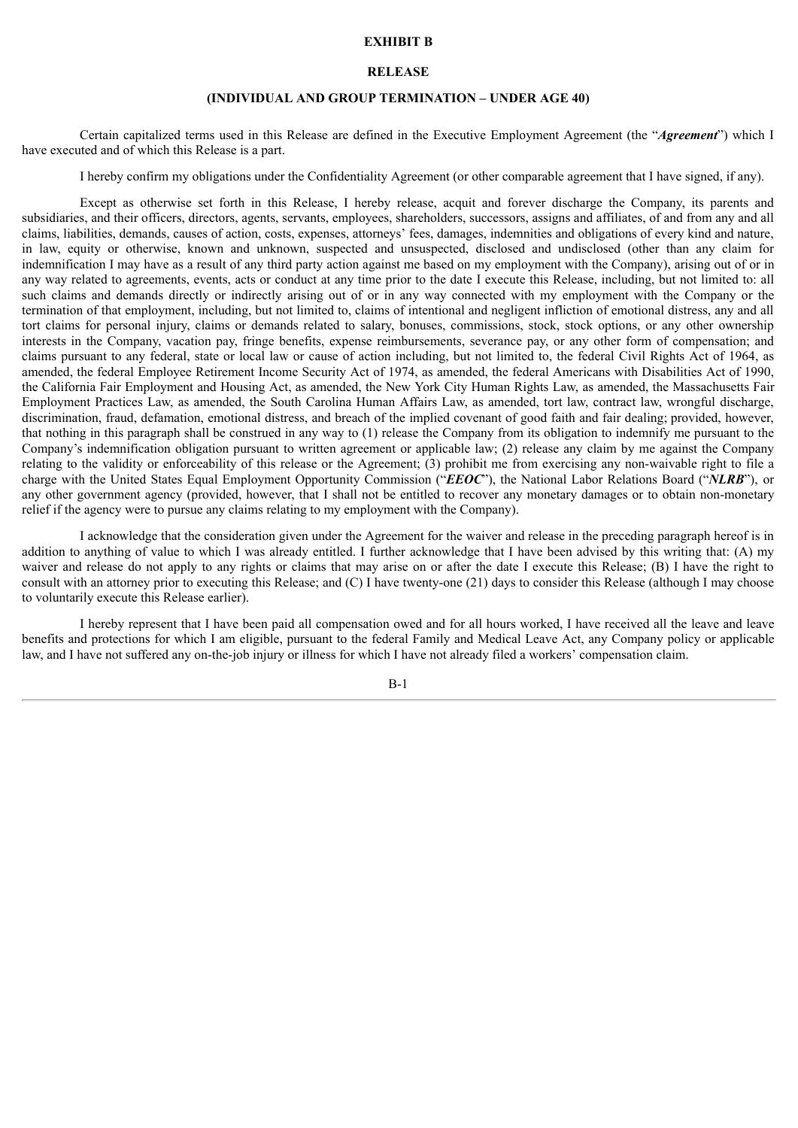#### **EXHIBIT B**

#### **RELEASE**

#### **(INDIVIDUAL AND GROUP TERMINATION – UNDER AGE 40)**

Certain capitalized terms used in this Release are defined in the Executive Employment Agreement (the "*Agreement*") which I have executed and of which this Release is a part.

I hereby confirm my obligations under the Confidentiality Agreement (or other comparable agreement that I have signed, if any).

Except as otherwise set forth in this Release, I hereby release, acquit and forever discharge the Company, its parents and subsidiaries, and their officers, directors, agents, servants, employees, shareholders, successors, assigns and affiliates, of and from any and all claims, liabilities, demands, causes of action, costs, expenses, attorneys' fees, damages, indemnities and obligations of every kind and nature, in law, equity or otherwise, known and unknown, suspected and unsuspected, disclosed and undisclosed (other than any claim for indemnification I may have as a result of any third party action against me based on my employment with the Company), arising out of or in any way related to agreements, events, acts or conduct at any time prior to the date I execute this Release, including, but not limited to: all such claims and demands directly or indirectly arising out of or in any way connected with my employment with the Company or the termination of that employment, including, but not limited to, claims of intentional and negligent infliction of emotional distress, any and all tort claims for personal injury, claims or demands related to salary, bonuses, commissions, stock, stock options, or any other ownership interests in the Company, vacation pay, fringe benefits, expense reimbursements, severance pay, or any other form of compensation; and claims pursuant to any federal, state or local law or cause of action including, but not limited to, the federal Civil Rights Act of 1964, as amended, the federal Employee Retirement Income Security Act of 1974, as amended, the federal Americans with Disabilities Act of 1990, the California Fair Employment and Housing Act, as amended, the New York City Human Rights Law, as amended, the Massachusetts Fair Employment Practices Law, as amended, the South Carolina Human Affairs Law, as amended, tort law, contract law, wrongful discharge, discrimination, fraud, defamation, emotional distress, and breach of the implied covenant of good faith and fair dealing; provided, however, that nothing in this paragraph shall be construed in any way to (1) release the Company from its obligation to indemnify me pursuant to the Company's indemnification obligation pursuant to written agreement or applicable law; (2) release any claim by me against the Company relating to the validity or enforceability of this release or the Agreement; (3) prohibit me from exercising any non-waivable right to file a charge with the United States Equal Employment Opportunity Commission ("*EEOC*"), the National Labor Relations Board ("*NLRB*"), or any other government agency (provided, however, that I shall not be entitled to recover any monetary damages or to obtain non-monetary relief if the agency were to pursue any claims relating to my employment with the Company).

I acknowledge that the consideration given under the Agreement for the waiver and release in the preceding paragraph hereof is in addition to anything of value to which I was already entitled. I further acknowledge that I have been advised by this writing that: (A) my waiver and release do not apply to any rights or claims that may arise on or after the date I execute this Release; (B) I have the right to consult with an attorney prior to executing this Release; and (C) I have twenty-one (21) days to consider this Release (although I may choose to voluntarily execute this Release earlier).

I hereby represent that I have been paid all compensation owed and for all hours worked, I have received all the leave and leave benefits and protections for which I am eligible, pursuant to the federal Family and Medical Leave Act, any Company policy or applicable law, and I have not suffered any on-the-job injury or illness for which I have not already filed a workers' compensation claim.

B-1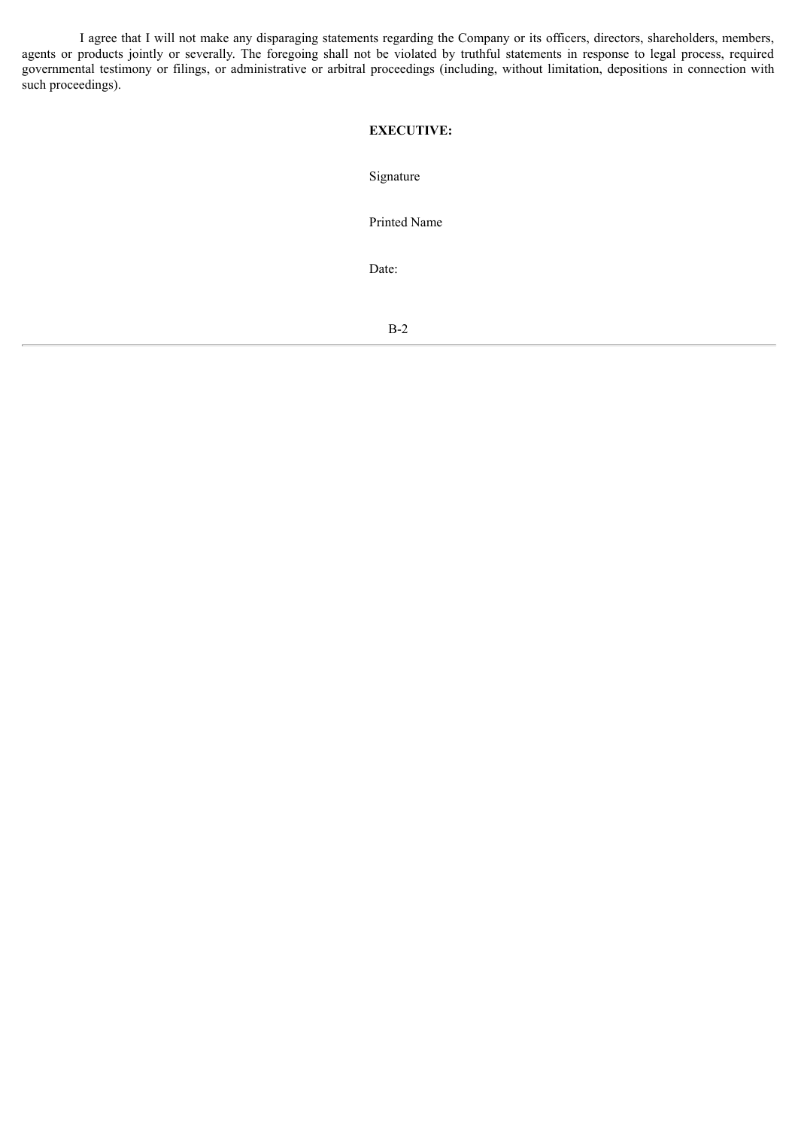I agree that I will not make any disparaging statements regarding the Company or its officers, directors, shareholders, members, agents or products jointly or severally. The foregoing shall not be violated by truthful statements in response to legal process, required governmental testimony or filings, or administrative or arbitral proceedings (including, without limitation, depositions in connection with such proceedings).

#### **EXECUTIVE:**

Signature

Printed Name

Date:

B-2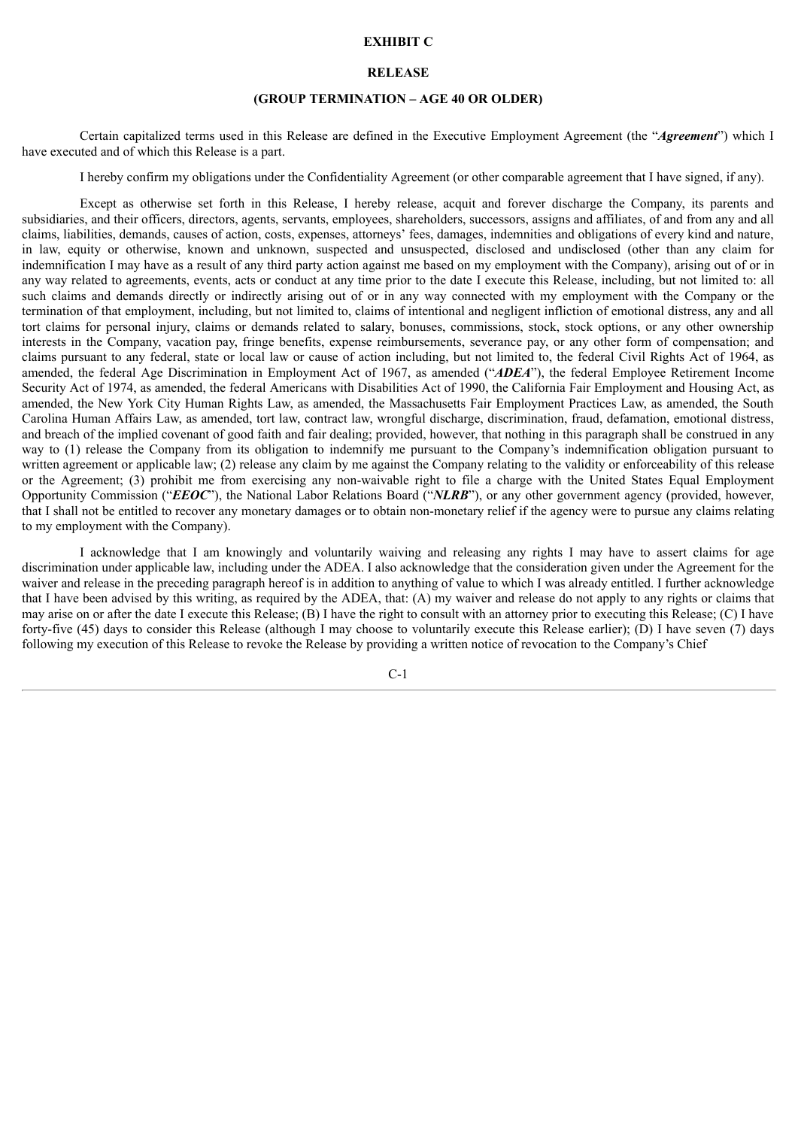#### **EXHIBIT C**

#### **RELEASE**

#### **(GROUP TERMINATION – AGE 40 OR OLDER)**

Certain capitalized terms used in this Release are defined in the Executive Employment Agreement (the "*Agreement*") which I have executed and of which this Release is a part.

I hereby confirm my obligations under the Confidentiality Agreement (or other comparable agreement that I have signed, if any).

Except as otherwise set forth in this Release, I hereby release, acquit and forever discharge the Company, its parents and subsidiaries, and their officers, directors, agents, servants, employees, shareholders, successors, assigns and affiliates, of and from any and all claims, liabilities, demands, causes of action, costs, expenses, attorneys' fees, damages, indemnities and obligations of every kind and nature, in law, equity or otherwise, known and unknown, suspected and unsuspected, disclosed and undisclosed (other than any claim for indemnification I may have as a result of any third party action against me based on my employment with the Company), arising out of or in any way related to agreements, events, acts or conduct at any time prior to the date I execute this Release, including, but not limited to: all such claims and demands directly or indirectly arising out of or in any way connected with my employment with the Company or the termination of that employment, including, but not limited to, claims of intentional and negligent infliction of emotional distress, any and all tort claims for personal injury, claims or demands related to salary, bonuses, commissions, stock, stock options, or any other ownership interests in the Company, vacation pay, fringe benefits, expense reimbursements, severance pay, or any other form of compensation; and claims pursuant to any federal, state or local law or cause of action including, but not limited to, the federal Civil Rights Act of 1964, as amended, the federal Age Discrimination in Employment Act of 1967, as amended ("*ADEA*"), the federal Employee Retirement Income Security Act of 1974, as amended, the federal Americans with Disabilities Act of 1990, the California Fair Employment and Housing Act, as amended, the New York City Human Rights Law, as amended, the Massachusetts Fair Employment Practices Law, as amended, the South Carolina Human Affairs Law, as amended, tort law, contract law, wrongful discharge, discrimination, fraud, defamation, emotional distress, and breach of the implied covenant of good faith and fair dealing; provided, however, that nothing in this paragraph shall be construed in any way to (1) release the Company from its obligation to indemnify me pursuant to the Company's indemnification obligation pursuant to written agreement or applicable law; (2) release any claim by me against the Company relating to the validity or enforceability of this release or the Agreement; (3) prohibit me from exercising any non-waivable right to file a charge with the United States Equal Employment Opportunity Commission ("*EEOC*"), the National Labor Relations Board ("*NLRB*"), or any other government agency (provided, however, that I shall not be entitled to recover any monetary damages or to obtain non-monetary relief if the agency were to pursue any claims relating to my employment with the Company).

I acknowledge that I am knowingly and voluntarily waiving and releasing any rights I may have to assert claims for age discrimination under applicable law, including under the ADEA. I also acknowledge that the consideration given under the Agreement for the waiver and release in the preceding paragraph hereof is in addition to anything of value to which I was already entitled. I further acknowledge that I have been advised by this writing, as required by the ADEA, that: (A) my waiver and release do not apply to any rights or claims that may arise on or after the date I execute this Release; (B) I have the right to consult with an attorney prior to executing this Release; (C) I have forty-five (45) days to consider this Release (although I may choose to voluntarily execute this Release earlier); (D) I have seven (7) days following my execution of this Release to revoke the Release by providing a written notice of revocation to the Company's Chief

 $C-1$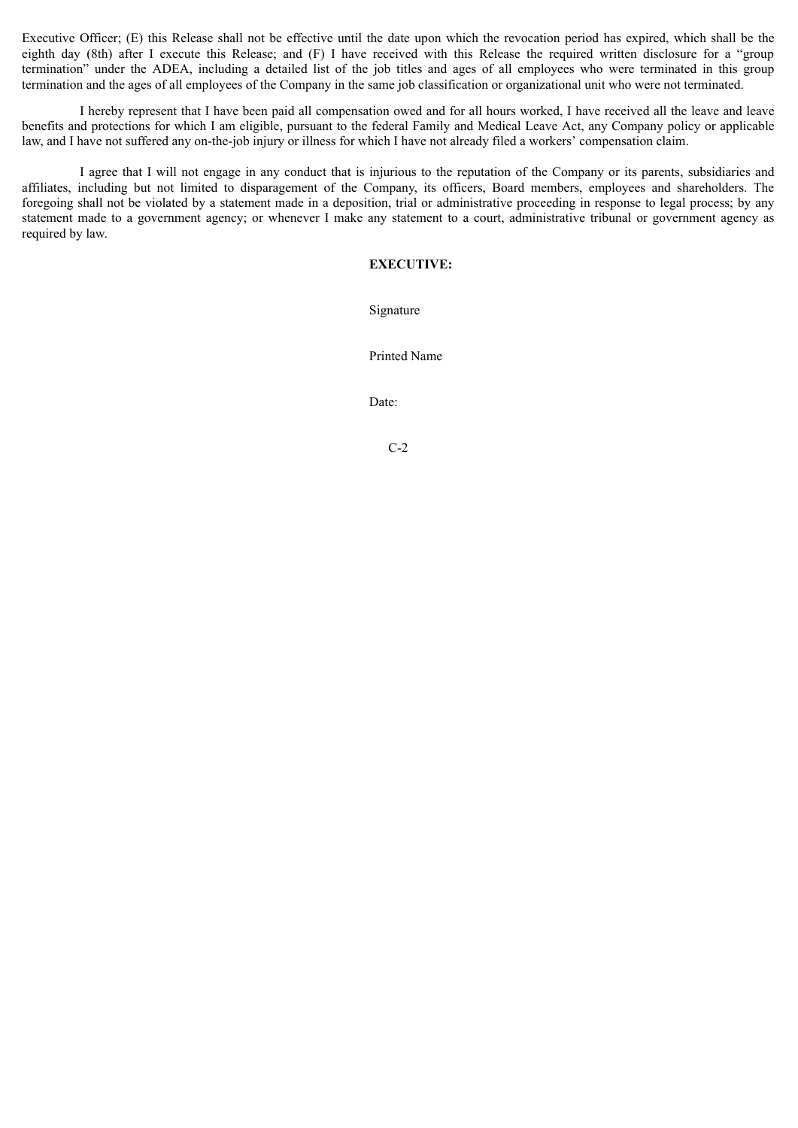Executive Officer; (E) this Release shall not be effective until the date upon which the revocation period has expired, which shall be the eighth day (8th) after I execute this Release; and (F) I have received with this Release the required written disclosure for a "group termination" under the ADEA, including a detailed list of the job titles and ages of all employees who were terminated in this group termination and the ages of all employees of the Company in the same job classification or organizational unit who were not terminated.

I hereby represent that I have been paid all compensation owed and for all hours worked, I have received all the leave and leave benefits and protections for which I am eligible, pursuant to the federal Family and Medical Leave Act, any Company policy or applicable law, and I have not suffered any on-the-job injury or illness for which I have not already filed a workers' compensation claim.

I agree that I will not engage in any conduct that is injurious to the reputation of the Company or its parents, subsidiaries and affiliates, including but not limited to disparagement of the Company, its officers, Board members, employees and shareholders. The foregoing shall not be violated by a statement made in a deposition, trial or administrative proceeding in response to legal process; by any statement made to a government agency; or whenever I make any statement to a court, administrative tribunal or government agency as required by law.

#### **EXECUTIVE:**

Signature

Printed Name

Date:

C-2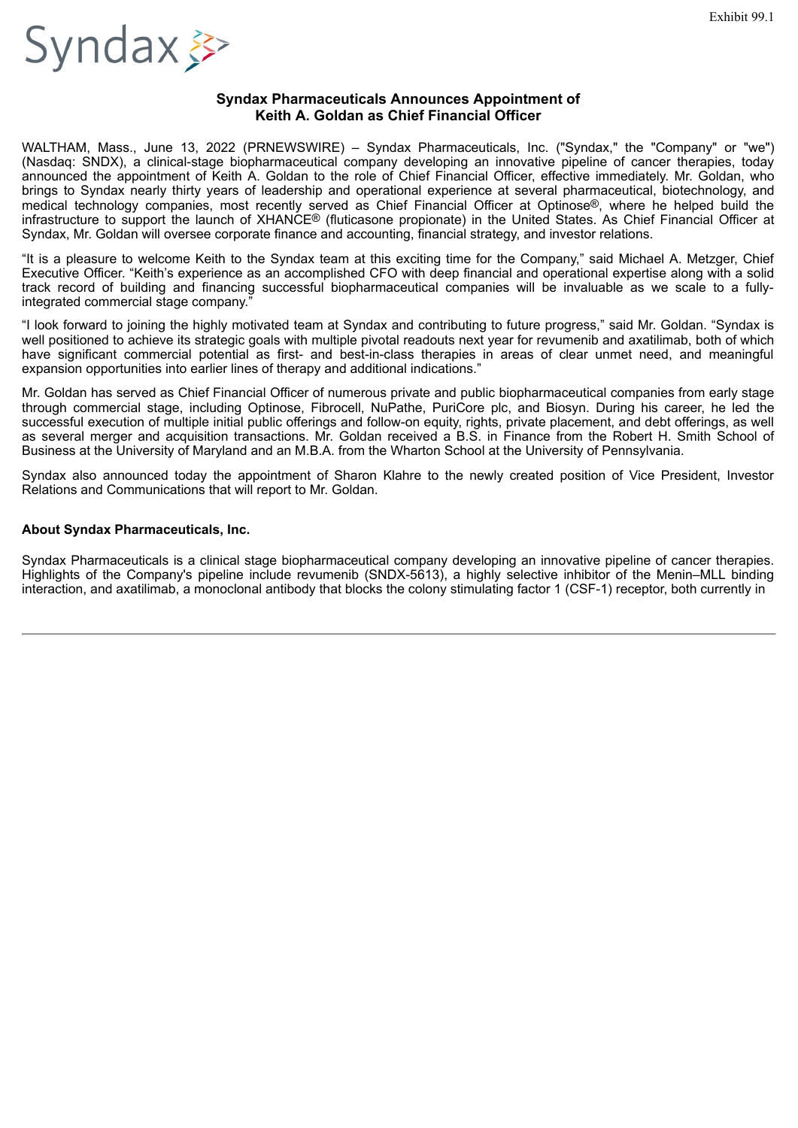<span id="page-25-0"></span>

#### **Syndax Pharmaceuticals Announces Appointment of Keith A. Goldan as Chief Financial Officer**

WALTHAM, Mass., June 13, 2022 (PRNEWSWIRE) – Syndax Pharmaceuticals, Inc. ("Syndax," the "Company" or "we") (Nasdaq: SNDX), a clinical-stage biopharmaceutical company developing an innovative pipeline of cancer therapies, today announced the appointment of Keith A. Goldan to the role of Chief Financial Officer, effective immediately. Mr. Goldan, who brings to Syndax nearly thirty years of leadership and operational experience at several pharmaceutical, biotechnology, and medical technology companies, most recently served as Chief Financial Officer at Optinose®, where he helped build the infrastructure to support the launch of XHANCE® (fluticasone propionate) in the United States. As Chief Financial Officer at Syndax, Mr. Goldan will oversee corporate finance and accounting, financial strategy, and investor relations.

"It is a pleasure to welcome Keith to the Syndax team at this exciting time for the Company," said Michael A. Metzger, Chief Executive Officer. "Keith's experience as an accomplished CFO with deep financial and operational expertise along with a solid track record of building and financing successful biopharmaceutical companies will be invaluable as we scale to a fullyintegrated commercial stage company."

"I look forward to joining the highly motivated team at Syndax and contributing to future progress," said Mr. Goldan. "Syndax is well positioned to achieve its strategic goals with multiple pivotal readouts next year for revumenib and axatilimab, both of which have significant commercial potential as first- and best-in-class therapies in areas of clear unmet need, and meaningful expansion opportunities into earlier lines of therapy and additional indications."

Mr. Goldan has served as Chief Financial Officer of numerous private and public biopharmaceutical companies from early stage through commercial stage, including Optinose, Fibrocell, NuPathe, PuriCore plc, and Biosyn. During his career, he led the successful execution of multiple initial public offerings and follow-on equity, rights, private placement, and debt offerings, as well as several merger and acquisition transactions. Mr. Goldan received a B.S. in Finance from the Robert H. Smith School of Business at the University of Maryland and an M.B.A. from the Wharton School at the University of Pennsylvania.

Syndax also announced today the appointment of Sharon Klahre to the newly created position of Vice President, Investor Relations and Communications that will report to Mr. Goldan.

#### **About Syndax Pharmaceuticals, Inc.**

Syndax Pharmaceuticals is a clinical stage biopharmaceutical company developing an innovative pipeline of cancer therapies. Highlights of the Company's pipeline include revumenib (SNDX-5613), a highly selective inhibitor of the Menin–MLL binding interaction, and axatilimab, a monoclonal antibody that blocks the colony stimulating factor 1 (CSF-1) receptor, both currently in